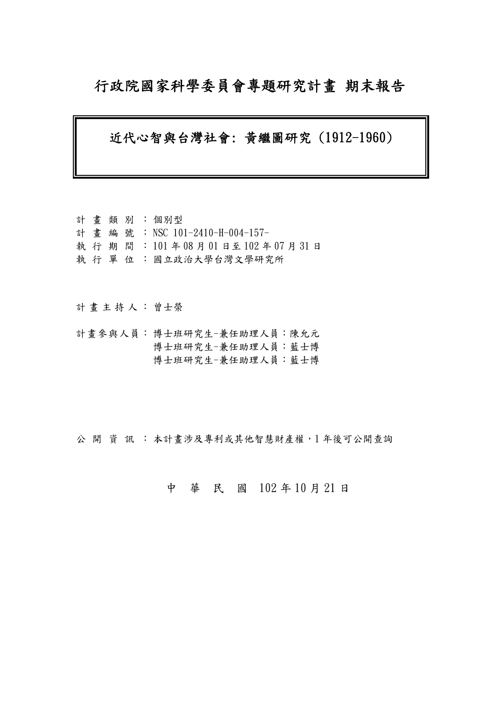## 行政院國家科學委員會專題研究計畫 期末報告

#### 近代心智與台灣社會: 黃繼圖研究 (1912-1960)

計 畫 類 別 : 個別型 計畫編號: NSC 101-2410-H-004-157- 執 行 期 間 : 101 年 08 月 01 日至 102 年 07 月 31 日 執 行 單 位 : 國立政治大學台灣文學研究所

計畫主持人: 曾士榮

計畫參與人員: 博士班研究生-兼任助理人員:陳允元 博士班研究生-兼任助理人員:藍士博 博士班研究生-兼任助理人員:藍士博

公開 資訊 : 本計書涉及專利或其他智慧財產權, 1年後可公開查詢

#### 中 華 民 國 102 年 10 月 21 日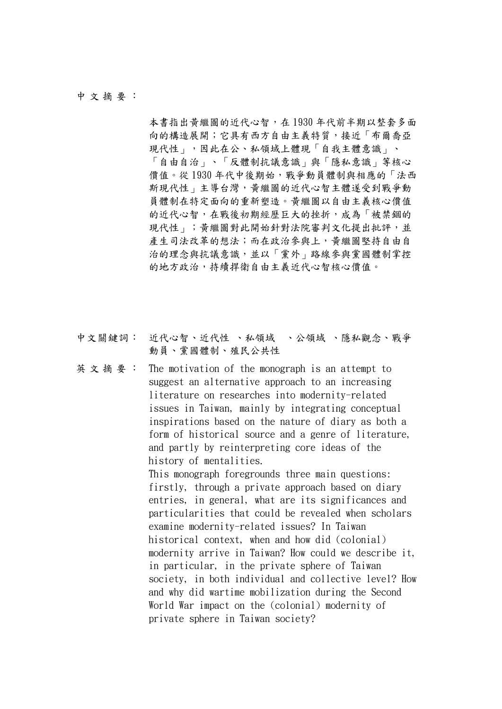#### 中 文 摘 要 :

本書指出黃繼圖的近代心智,在1930年代前半期以整套多面 向的構造展開;它具有西方自由主義特質,接近「布爾喬亞 現代性」,因此在公、私領域上體現「自我主體意識」、 「自由自治」、「反體制抗議意識」與「隱私意識」等核心 價值。從1930年代中後期始,戰爭動員體制與相應的「法西 斯現代性」主導台灣,黃繼圖的近代心智主體遂受到戰爭動 員體制在特定面向的重新塑造。黃繼圖以自由主義核心價值 的近代心智,在戰後初期經歷巨大的挫折,成為「被禁錮的 現代性」;黃繼圖對此開始針對法院審判文化提出批評,並 產生司法改革的想法;而在政治參與上,黃繼圖堅持自由自 治的理念與抗議意識,並以「黨外」路線參與黨國體制掌控 的地方政治,持續捍衛自由主義近代心智核心價值。

- 中文關鍵詞: 近代心智、近代性 、私領域 、公領域 、隱私觀念、戰爭 動員、黨國體制、殖民公共性
- 英 文 摘 要 : The motivation of the monograph is an attempt to suggest an alternative approach to an increasing literature on researches into modernity-related issues in Taiwan, mainly by integrating conceptual inspirations based on the nature of diary as both a form of historical source and a genre of literature, and partly by reinterpreting core ideas of the history of mentalities. This monograph foregrounds three main questions: firstly, through a private approach based on diary entries, in general, what are its significances and particularities that could be revealed when scholars examine modernity-related issues? In Taiwan historical context, when and how did (colonial) modernity arrive in Taiwan? How could we describe it, in particular, in the private sphere of Taiwan society, in both individual and collective level? How and why did wartime mobilization during the Second World War impact on the (colonial) modernity of private sphere in Taiwan society?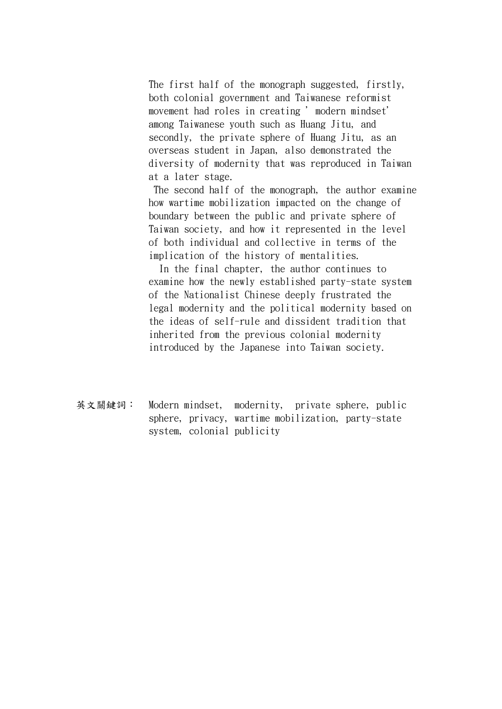The first half of the monograph suggested, firstly, both colonial government and Taiwanese reformist movement had roles in creating 'modern mindset' among Taiwanese youth such as Huang Jitu, and secondly, the private sphere of Huang Jitu, as an overseas student in Japan, also demonstrated the diversity of modernity that was reproduced in Taiwan at a later stage.

 The second half of the monograph, the author examine how wartime mobilization impacted on the change of boundary between the public and private sphere of Taiwan society, and how it represented in the level of both individual and collective in terms of the implication of the history of mentalities.

 In the final chapter, the author continues to examine how the newly established party-state system of the Nationalist Chinese deeply frustrated the legal modernity and the political modernity based on the ideas of self-rule and dissident tradition that inherited from the previous colonial modernity introduced by the Japanese into Taiwan society.

英文關鍵詞: Modern mindset, modernity, private sphere, public sphere, privacy, wartime mobilization, party-state system, colonial publicity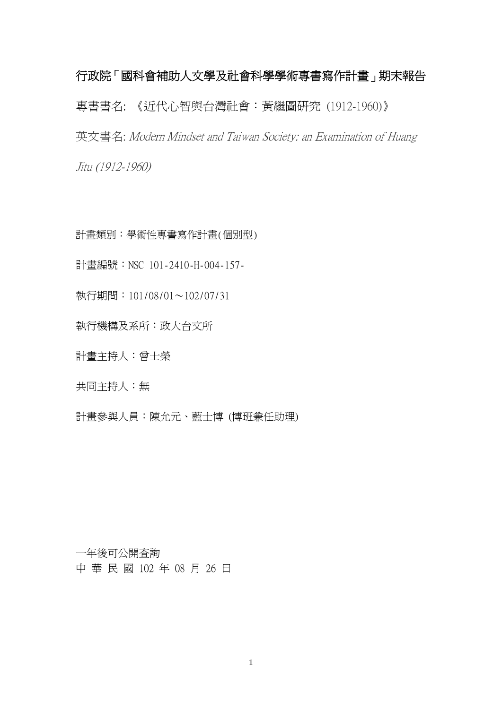# 行政院「國科會補助人文學及社會科學學術專書寫作計畫」期末報告 專書書名: 《近代心智與台灣社會:黃繼圖研究 (1912-1960)》 英文書名: Modern Mindset and Taiwan Society: an Examination of Huang Jitu (1912-1960)

計畫類別:學術性專書寫作計畫(個別型)

計畫編號:NSC 101-2410-H-004-157-

執行期間:101/08/01~102/07/31

執行機構及系所:政大台文所

計畫主持人:曾士榮

共同主持人:無

計畫參與人員:陳允元、藍士博 (博班兼任助理)

一年後可公開查詢 中 華 民 國 102 年 08 月 26 日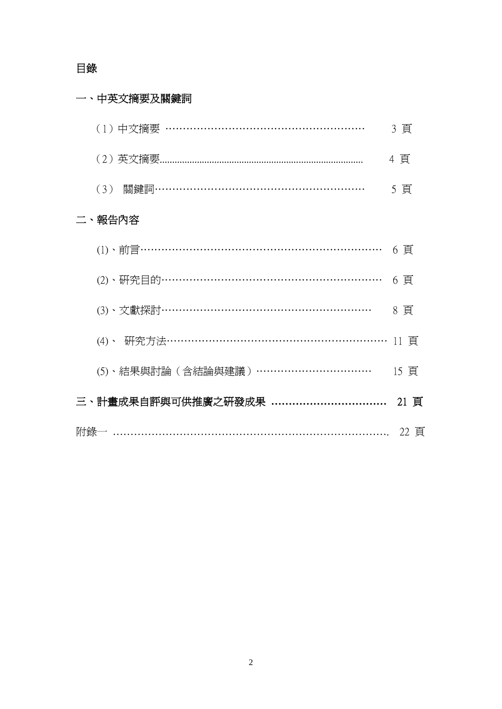### 目錄

## 一、中英文摘要及關鍵詞

| (1) 中文摘要 ………………………………………………           | 3 頁  |
|---------------------------------------|------|
|                                       | 4 頁  |
| (3) 關鍵詞……………………………………………………           | 5 頁  |
| 二、報告內容                                |      |
| (1)、前言………………………………………………………………        | 6 頁  |
| (2)、研究目的………………………………………………………         | 6 頁  |
| (3)、文獻探討……………………………………………………          | 8頁   |
| (4)、研究方法………………………………………………………         | 11 頁 |
| (5)、結果與討論 (含結論與建議) ……………………………        | 15 頁 |
|                                       | 21 頁 |
| 附錄一 ………………………………………………………………………… 22 頁 |      |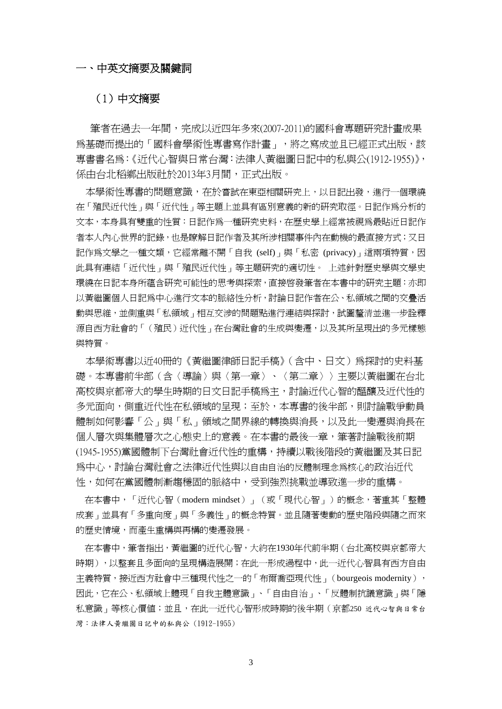#### 一、中英文摘要及關鍵詞

#### (1)中文摘要

 筆者在過去一年間,完成以近四年多來(2007-2011)的國科會專題研究計畫成果 爲基礎而提出的「國科會學術性專書寫作計畫」,將之寫成並且已經正式出版,該 專書書名為:《近代心智與日常台灣:法律人黃繼圖日記中的私與公(1912-1955)》, 係由台北稻鄉出版社於2013年3月間,正式出版。

本學術性專書的問題意識,在於嘗試在東亞相關研究上,以日記出發,進行一個環繞 在「殖民近代性」與「近代性」等主題上並具有區別意義的新的研究取徑。日記作為分析的 文本,本身具有雙重的性質:日記作為一種研究史料,在歷史學上經常被視為最貼近日記作 者本人內心世界的記錄,也是瞭解日記作者及其所涉相關事件內在動機的最直接方式;又日 記作為文學之一種文類,它經常離不開「自我 (self)」與「私密 (privacy)」這兩項特質,因 此具有連結「近代性」與「殖民近代性」等主題研究的適切性。 上述針對歷史學與文學史 環繞在日記本身所蘊含研究可能性的思考與探索,直接啟發筆者在本書中的研究主題:亦即 以黃繼圖個人日記為中心進行文本的脈絡性分析,討論日記作者在公、私領域之間的交疊活 動與思維,並側重與「私領域」相互交涉的問題點進行連結與探討,試圖釐清並進一步詮釋 源自西方社會的「(殖民)沂代性」在台灣社會的生成與變遷,以及其所呈現出的多元樣態 與特質。

本學術專書以近40冊的《黃繼圖律師日記手稿》(含中、日文)為探討的史料基 礎。本專書前半部(含〈導論〉與〈第一章〉、〈第二章〉〉主要以黃繼圖在台北 高校與京都帝大的學生時期的日文日記手稿為主,討論近代心智的醞釀及近代性的 多元面向,側重近代性在私領域的呈現;至於,本專書的後半部,則討論戰爭動員 體制如何影響「公」與「私」領域之間界線的轉換與消長,以及此一變遷與消長在 個人層次與集體層次之心態史上的意義。在本書的最後一章,筆著討論戰後前期 (1945-1955)黨國體制下台灣社會近代性的重構,持續以戰後階段的黃繼圖及其日記 為中心,討論台灣社會之法律近代性與以自由自治的反體制理念為核心的政治近代 性,如何在黨國體制漸趨穩固的脈絡中,受到強烈挑戰並導致進一步的重構。

在本書中,「近代心智(modern mindset)」(或「現代心智」)的概念,著重其「整體 成套」並具有「多重向度」與「多義性」的概念特質。並且隨著變動的歷史階段與隨之而來 的歷史情境,而產生重構與再構的變遷發展。

在本書中,筆者指出,黃繼圖的近代心智,大約在1930年代前半期(台北高校與京都帝大 時期),以整套且多面向的呈現構造展開;在此一形成過程中,此一近代心智具有西方自由 主義特質,接近西方社會中三種現代性之一的「布爾喬亞現代性」(bourgeois modernity), 因此,它在公、私領域上體現「自我主體意識」、「自由自治」、「反體制抗議意識」與「隱 私意識」等核心價値;並且,在此一近代心智形成時期的後半期(京都250 近代心智與日常台 灣:法律人黃繼圖日記中的私與公 (1912-1955)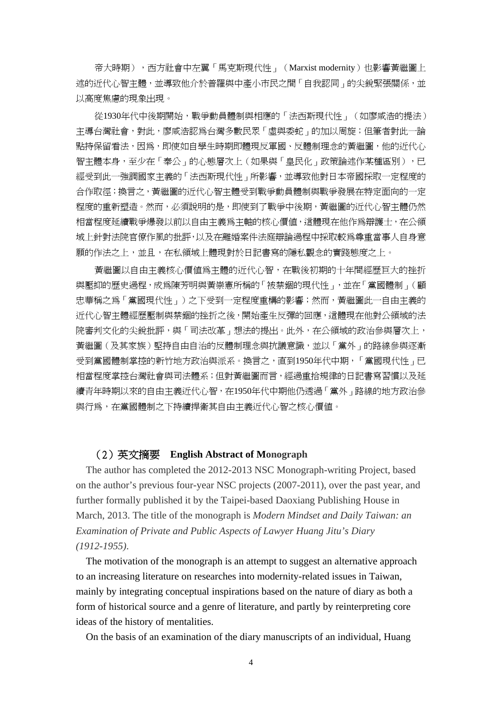帝大時期),西方社會中左翼「馬克斯現代性」(Marxist modernity) 也影響黃繼圖上 述的近代心智主體,並導致他介於普羅與中產小市民之間「自我認同」的尖銳緊張關係,並 以高度焦慮的現象出現。

從1930年代中後期開始,戰爭動員體制與相應的「法西斯現代性」(如廖咸浩的提法) 主導台灣社會,對此,廖咸浩認為台灣多數民眾「虛與委蛇」的加以周旋;但筆者對此一論 點持保留看法,因為,即使如自學生時期即體現反軍國、反體制理念的黃繼圖,他的近代心 智主體本身,至少在「奉公」的心態層次上(如果與「皇民化」政策論述作某種區別),已 經受到此一強調國家主義的「法西斯現代性」所影響,並導致他對日本帝國採取一定程度的 合作取徑;換言之,黃繼圖的近代心智主體受到戰爭動員體制與戰爭發展在特定面向的一定 程度的重新塑造。然而,必須說明的是,即使到了戰爭中後期,黃繼圖的近代心智主體仍然 相當程度延續戰爭爆發以前以自由主義為主軸的核心價值,這體現在他作為辯護士,在公領 域上針對法院官僚作風的批評,以及在離婚案件法庭辯論過程中採取較為尊重當事人自身意 願的作法之上,並且,在私領域上體現對於日記書寫的隱私觀念的實踐態度之上。

黃繼圖以自由主義核心價值為主體的近代心智,在戰後初期的十年間經歷巨大的挫折 與壓抑的歷史過程,成為陳芳明與黃崇憲所稱的「被禁錮的現代性」,並在「黨國體制」(顧 忠華稱之為「黨國現代性」)之下受到一定程度重構的影響;然而,黃繼圖此一自由主義的 近代心智主體經歷壓制與禁錮的挫折之後,開始產生反彈的回應,這體現在他對公領域的法 院審判文化的尖銳批評,與「司法改革」想法的提出。此外,在公領域的政治參與層次上, 黃繼圖(及其家族)堅持自由自治的反體制理念與抗議意識,並以「黨外」的路線參與逐漸 受到黨國體制掌控的新竹地方政治與派系。換言之,直到1950年代中期,「黨國現代性」已 相當程度掌控台灣社會與司法體系;但對黃繼圖而言,經過重拾規律的日記書寫習慣以及延 續青年時期以來的自由主義近代心智,在1950年代中期他仍透過「黨外」路線的地方政治參 與行為,在黨國體制之下持續捍衛其自由主義近代心智之核心價值。

#### (2)英文摘要 **English Abstract of Monograph**

The author has completed the 2012-2013 NSC Monograph-writing Project, based on the author's previous four-year NSC projects (2007-2011), over the past year, and further formally published it by the Taipei-based Daoxiang Publishing House in March, 2013. The title of the monograph is *Modern Mindset and Daily Taiwan: an Examination of Private and Public Aspects of Lawyer Huang Jitu's Diary (1912-1955)*.

The motivation of the monograph is an attempt to suggest an alternative approach to an increasing literature on researches into modernity-related issues in Taiwan, mainly by integrating conceptual inspirations based on the nature of diary as both a form of historical source and a genre of literature, and partly by reinterpreting core ideas of the history of mentalities.

On the basis of an examination of the diary manuscripts of an individual, Huang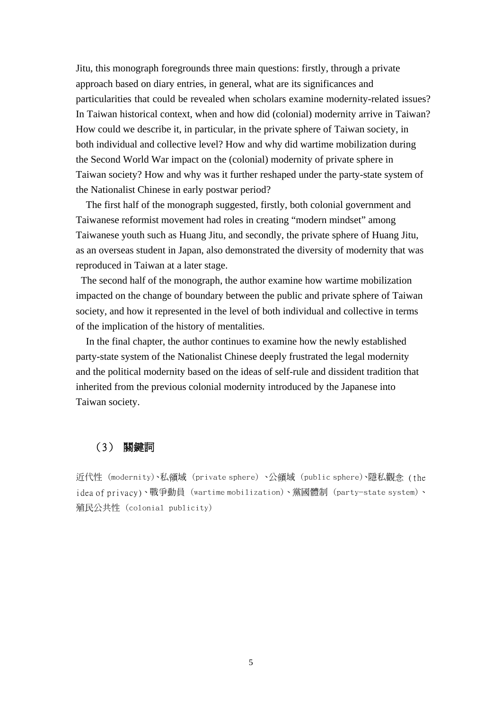Jitu, this monograph foregrounds three main questions: firstly, through a private approach based on diary entries, in general, what are its significances and particularities that could be revealed when scholars examine modernity-related issues? In Taiwan historical context, when and how did (colonial) modernity arrive in Taiwan? How could we describe it, in particular, in the private sphere of Taiwan society, in both individual and collective level? How and why did wartime mobilization during the Second World War impact on the (colonial) modernity of private sphere in Taiwan society? How and why was it further reshaped under the party-state system of the Nationalist Chinese in early postwar period?

The first half of the monograph suggested, firstly, both colonial government and Taiwanese reformist movement had roles in creating "modern mindset" among Taiwanese youth such as Huang Jitu, and secondly, the private sphere of Huang Jitu, as an overseas student in Japan, also demonstrated the diversity of modernity that was reproduced in Taiwan at a later stage.

 The second half of the monograph, the author examine how wartime mobilization impacted on the change of boundary between the public and private sphere of Taiwan society, and how it represented in the level of both individual and collective in terms of the implication of the history of mentalities.

 In the final chapter, the author continues to examine how the newly established party-state system of the Nationalist Chinese deeply frustrated the legal modernity and the political modernity based on the ideas of self-rule and dissident tradition that inherited from the previous colonial modernity introduced by the Japanese into Taiwan society.

#### (3) 關鍵詞

近代性 (modernity)、私領域 (private sphere) 、公領域 (public sphere)、隱私觀念 (the idea of privacy)、戰爭動員 (wartime mobilization)、黨國體制 (party-state system)、 殖民公共性 (colonial publicity)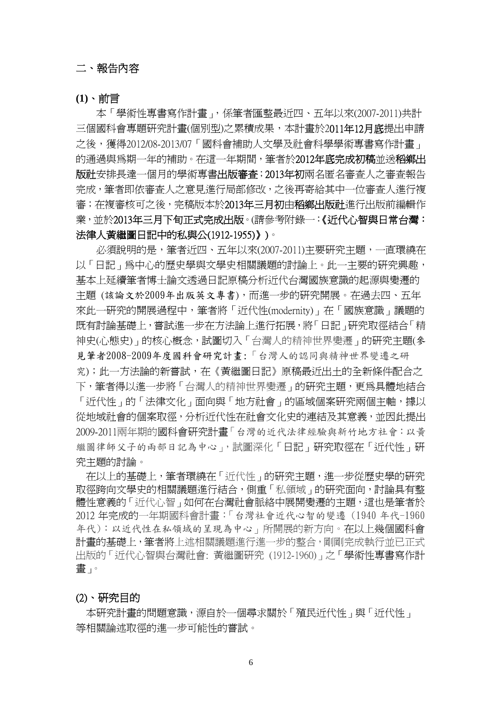#### 二、報告內容

**(1)**、前言

本「學術性專書寫作計畫」,係筆者匯整最近四、五年以來(2007-2011)共計 三個國科會專題研究計畫(個別型)之累積成果,本計畫於2011年12月底提出申請 之後,獲得2012/08-2013/07「國科會補助人文學及社會科學學術專書寫作計書」 的通過與爲期一年的補助。在這一年期間,筆者於2012**年底完成初稿**並送**稻鄉出** 版社安排長達一個月的學術專書出版審査;2013年初兩名匿名審査人之審査報告 完成,筆者即依審查人之意見進行局部修改,之後再寄給其中一位審查人進行複 審;在複審核可之後,完稿版本於2013年三月初由稻鄉出版社進行出版前編輯作 業,並於2013年三月下旬正式完成出版。(請參考附錄一:《近代心智與日常台灣: 法律人黃繼圖日記中的私與公(1912-1955)》)。

必須說明的是,筆者近四、五年以來(2007-2011)主要研究主題,一直環繞在 以「日記」為中心的歷史學與文學史相關議題的討論上。此一主要的研究興趣, 基本上延續筆者博士論文透過日記原稿分析近代台灣國族意識的起源與變遷的 主題 (該論文於2009年出版英文專書),而進一步的研究開展。在過去四、五年 來此一研究的開展過程中,筆者將「近代性(modernity)」在「國族意識」議題的 既有討論基礎上,嘗試進一步在方法論上進行拓展,將「日記」研究取徑結合「精 神史(心態史)」的核心概念,試圖切入「台灣人的精神世界變遷」的研究主題(參 見筆者2008-2009年度國科會研究計畫:「台灣人的認同與精神世界變遷之研 究);此一方法論的新嘗試,在《黃繼圖日記》原稿最近出土的全新條件配合之 下,筆者得以進一步將「台灣人的精神世界變遷」的研究主題,更為具體地結合 「沂代性」的「法律文化」面向與「地方社會」的區域個案研究兩個主軸,據以 從地域社會的個案取徑,分析近代性在社會文化史的連結及其意義,並因此提出 2009-2011兩年期的國科會研究計畫「台灣的近代法律經驗與新竹地方社會:以黃 繼圖律師父子的兩部日記為中心」,試圖深化「日記」研究取徑在「近代性」研 究主題的討論。

在以上的基礎上,筆者環繞在「近代性」的研究主題,進一步從歷史學的研究 取徑跨向文學史的相關議題進行結合,側重「私領域」的研究面向,討論具有整 體性意義的「近代心智」如何在台灣社會脈絡中展開變遷的主題,這也是筆者於 2012 年完成的一年期國科會計畫:「台灣社會近代心智的變遷 (1940 年代-1960 年代):以近代性在私領域的呈現為中心」所開展的新方向。在以上幾個國科會 計書的基礎上,筆者將上述相關議題進行進一步的整合,剛剛完成執行並已正式 出版的「近代心智與台灣社會: 黃繼圖研究 (1912-1960)」之「學術性專書寫作計 畫」。

#### (2)、研究目的

本研究計畫的問題意識,源自於一個尋求關於「殖民近代性」與「近代性」 等相關論述取徑的進一步可能性的嘗試。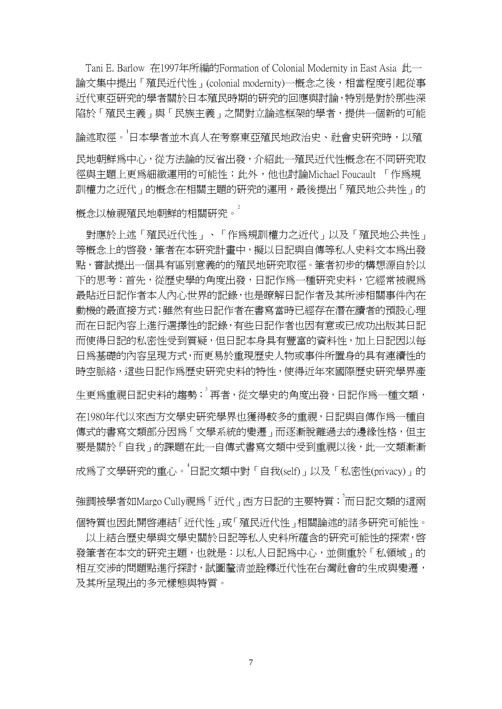Tani E. Barlow 在1997年所編的Formation of Colonial Modernity in East Asia 此一 論文集中提出「殖民近代性」(colonial modernity)一概念之後,相當程度引起從事 近代東亞研究的學者關於日本殖民時期的研究的回應與討論,特別是對於那些深 陷於「殖民主義」與「民族主義」之間對立論述框架的學者,提供一個新的可能 論述取徑。<sup>」</sup>日本學者並木真人在考察東亞殖民地政治史、社會史研究時,以殖 民地朝鮮為中心,從方法論的反省出發,介紹此一殖民近代性概念在不同研究取 徑與主題上更為細緻運用的可能性;此外,他也討論Michael Foucault 「作為規 訓權力之近代」的概念在相關主題的研究的運用,最後提出「殖民地公共性」的

概念以檢視殖民地朝鮮的相關研究。2

對應於上述「殖民近代性」、「作為規訓權力之近代」以及「殖民地公共性」 等概念上的啓發,筆者在本研究計畫中,擬以日記與自傳等私人史料文本為出發 點,嘗試提出一個具有區別意義的的殖民地研究取徑。筆者初步的構想源自於以 下的思考:首先,從歷史學的角度出發,日記作為一種研究史料,它經常被視為 最貼近日記作者本人內心世界的記錄,也是瞭解日記作者及其所涉相關事件內在 動機的最直接方式;雖然有些日記作者在書寫當時已經存在潛在讀者的預設心理 而在日記內容上進行選擇性的記錄,有些日記作者也因有意或已成功出版其日記 而使得日記的私密性受到質疑,但日記本身具有豐富的資料性,加上日記因以每 日為基礎的內容呈現方式,而更易於重現歷史人物或事件所置身的具有連續性的 時空脈絡,這些日記作爲歷史研究史料的特性,使得近年來國際歷史研究學界產

生更爲重視日記史料的趨勢; <sup>3</sup> 再者, 從文學史的角度出發, 日記作爲一種文類,

在1980年代以來西方文學史研究學界也獲得較多的重視,日記與自傳作為一種自 傳式的書寫文類部分因為「文學系統的變遷」而逐漸脫離過去的邊緣性格,但主 要是關於「自我」的課題在此一自傳式書寫文類中受到重視以後,此一文類漸漸 成爲了文學研究的重心。<sup>4</sup>日記文類中對「自我(self)」以及「私密性(privacy)」的

強調被學者如Margo Cully視為 「近代」西方日記的主要特質;<sup>5</sup>而日記文類的這兩 個特質也因此開啟連結「近代性」或「殖民近代性」相關論述的諸多研究可能性。

以上結合歷史學與文學史關於日記等私人史料所蘊含的研究可能性的探索, 啓 發筆者在本文的研究主題,也就是:以私人日記為中心,並側重於「私領域」的 相互交涉的問題點進行探討,試圖釐清並詮釋近代性在台灣社會的生成與變遷, 及其所呈現出的多元樣態與特質。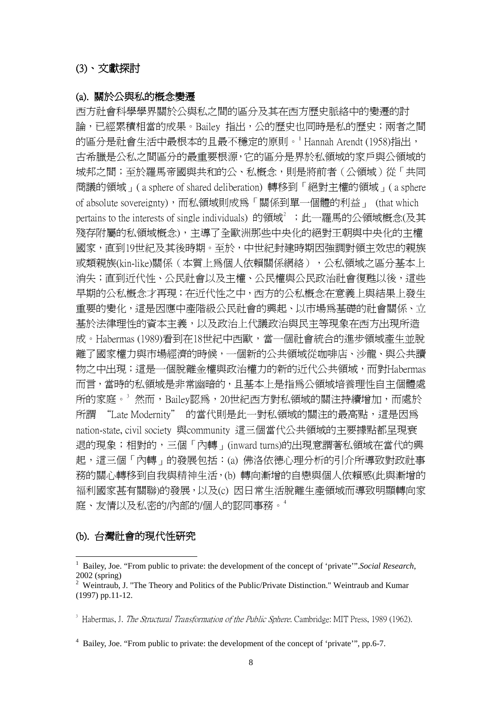#### (3)、文獻探討

#### (a). 關於公與私的概念變遷

西方社會科學學界關於公與私之間的區分及其在西方歷史脈絡中的變遷的討 論,已經累積相當的成果。Bailey 指出,公的歷史也同時是私的歷史;兩者之間 的區分是社會生活中最根本的且最不穩定的原則。<sup>[1](#page-10-0)</sup> Hannah Arendt (1958)指出, 古希臘是公私之間區分的最重要根源,它的區分是界於私領域的家戶與公領域的 城邦之間;至於羅馬帝國與共和的公、私概念,則是將前者(公領域)從「共同 商議的領域」( a sphere of shared deliberation) 轉移到「絕對主權的領域」( a sphere of absolute sovereignty),而私領域則成為「關係到單一個體的利益」 (that which pertains to the interests of single individuals) 的領域<sup>[2](#page-10-1)</sup> ;此一羅馬的公領域概念(及其 殘存附屬的私領域概念),主導了全歐洲那些中央化的絕對王朝與中央化的主權 國家,直到19世紀及其後時期。至於,中世紀封建時期因強調對領主效忠的親族 或類親族(kin-like)關係(本質上為個人依賴關係網絡),公私領域之區分基本上 消失;直到近代性、公民社會以及主權、公民權與公民政治社會復甦以後,這些 早期的公私概念才再現;在近代性之中,西方的公私概念在意義上與結果上發生 重要的變化,這是因應中產階級公民社會的興起、以市場為基礎的社會關係、立 基於法律理性的資本主義,以及政治上代議政治與民主等現象在西方出現所造 成。Habermas (1989)看到在18世紀中西歐,當一個社會統合的進步領域產生並脫 離了國家權力與市場經濟的時候,一個新的公共領域從咖啡店、沙龍、與公共讀 物之中出現;這是一個脫離金權與政治權力的新的近代公共領域,而對Habermas 而言,當時的私領域是非常幽暗的,且基本上是指為公領域培養理性自主個體處 所的家庭。<sup>[3](#page-10-2)</sup>然而,Bailey認爲,20世紀西方對私領域的關注持續增加,而處於 所謂 "Late Modernity" 的當代則是此一對私領域的關注的最高點,這是因為 nation-state, civil society 與community 這三個當代公共領域的主要據點都呈現衰 退的現象;相對的,三個「內轉」(inward turns)的出現意謂著私領域在當代的興 起,這三個「內轉」的發展包括:(a) 佛洛依德心理分析的引介所導致對政社事 務的關心轉移到自我與精神生活,(b) 轉向漸增的自戀與個人依賴感(此與漸增的 福利國家甚有關聯)的發展,以及(c) 因日常生活脫離生產領域而導致明顯轉向家 庭、友情以及私密的/內部的/個人的認同事務。[4](#page-10-3)

#### (b). 台灣社會的現代性研究

1

<span id="page-10-2"></span> $3$  Habermas, J. *The Structural Transformation of the Public Sphere*. Cambridge: MIT Press, 1989 (1962).

<span id="page-10-3"></span><sup>4</sup> Bailey, Joe. "From public to private: the development of the concept of 'private'", pp.6-7.

<span id="page-10-0"></span><sup>&</sup>lt;sup>1</sup> Bailey, Joe. "From public to private: the development of the concept of 'private'". Social Research, 2002 (spring)

<span id="page-10-1"></span><sup>&</sup>lt;sup>2</sup> Weintraub, J. "The Theory and Politics of the Public/Private Distinction." Weintraub and Kumar (1997) pp.11-12.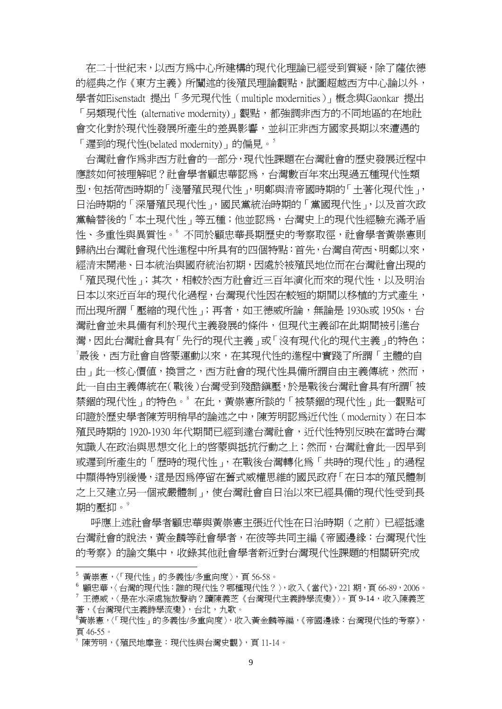在二十世紀末,以西方為中心所建構的現代化理論已經受到質疑,除了薩依德 的經典之作《東方主義》所闡述的後殖民理論觀點,試圖超越西方中心論以外, 學者如Eisenstadt 提出「多元現代性(multiple modernities)」概念與Gaonkar 提出 「另類現代性 (alternative modernity)」觀點,都強調非西方的不同地區的在地社 會文化對於現代性發展所產生的差異影響,並糾正非西方國家長期以來遭遇的 「遲到的現代性(belated modernity)」的偏見。<sup>[5](#page-11-0)</sup>

台灣社會作為非西方社會的一部分,現代性課題在台灣社會的歷史發展近程中 應該如何被理解呢?社會學者顧忠華認為,台灣數百年來出現過五種現代性類 型,包括荷西時期的「淺層殖民現代性」,明鄭與清帝國時期的「土著化現代性」, 日治時期的「深層殖民現代性」,國民黨統治時期的「黨國現代性」,以及首次政 黨輪替後的「本土現代性」等五種;他並認為,台灣史上的現代性經驗充滿矛盾 性、多重性與異質性。 不同於顧忠華長期歷史的考察取徑,社會學者黃崇憲則 歸納出台灣社會現代性進程中所具有的四個特點:首先,台灣自荷西、明鄭以來, 經清末開港、日本統治與國府統治初期,因處於被殖民地位而在台灣社會出現的 「殖民現代性」;其次,相較於西方社會近三百年演化而來的現代性,以及明治 日本以來近百年的現代化過程,台灣現代性因在較短的期間以移植的方式產生, 而出現所謂「壓縮的現代性」;再者,如王德威所論,無論是 1930s或 1950s,台 灣社會並未具備有利於現代主義發展的條件,但現代主義卻在此期間被引進台 灣,因此台灣社會具有「先行的現代主義」或「沒有現代化的現代主義」的特色;  $^{\prime}$ 最後,西方社會自啓蒙運動以來,在其現代性的進程中實踐了所謂「主體的自 由 」 此一核心價值,換言之,西方社會的現代性具備所謂自由主義傳統,然而, 此一自由主義傳統在(戰後)台灣受到殘酷鎮壓,於是戰後台灣社會具有所謂「被 禁錮的現代性」的特色。<sup>8</sup>在此,黃崇憲所談的「被禁錮的現代性」此一觀點可 印證於歷史學者陳芳明稍早的論述之中,陳芳明認為近代性(modernity)在日本 殖民時期的 1920-1930 年代期間已經到達台灣社會,近代性特別反映在當時台灣 知識人在政治與思想文化上的啓蒙與抵抗行動之上;然而,台灣社會此一因早到 或遲到所產生的「歷時的現代性」,在戰後台灣轉化為「共時的現代性」的過程 中顯得特別緩慢,這是因為停留在舊式威權思維的國民政府「在日本的殖民體制 之上又建立另一個戒嚴體制」,使台灣社會自日治以來已經具備的現代性受到長 期的壓抑。<sup>9</sup>

呼應上述社會學者顧忠華與黃崇憲主張近代性在日治時期(之前)已經抵達 台灣社會的說法,黃金麟等社會學者,在彼等共同主編《帝國邊緣:台灣現代性 的考察》的論文集中,收錄其他社會學者新近對台灣現代性課題的相關研究成

<span id="page-11-0"></span><sup>5</sup> 黃崇憲,〈「現代性」的多義性/多重向度〉,頁 56-58。

<span id="page-11-2"></span><span id="page-11-1"></span><sup>6</sup> 顧忠華,〈台灣的現代性:誰的現代性?哪種現代性?〉,收入《當代》,221 期,頁 66-89,2006。  $^7$ 王德威,〈是在水深處施放聲納?讀陳義芝《台灣現代主義詩學流變》〉。頁 9-14,收入陳義芝 著,《台灣現代主義詩學流變》,台北,九歌。

<span id="page-11-3"></span><sup>8</sup> 黃崇憲,〈「現代性」的多義性/多重向度〉,收入黃金麟等編,《帝國邊緣:台灣現代性的考察》, 頁 46-55。

<span id="page-11-4"></span><sup>9</sup> 陳芳明,《殖民地摩登:現代性與台灣史觀》,頁 11-14。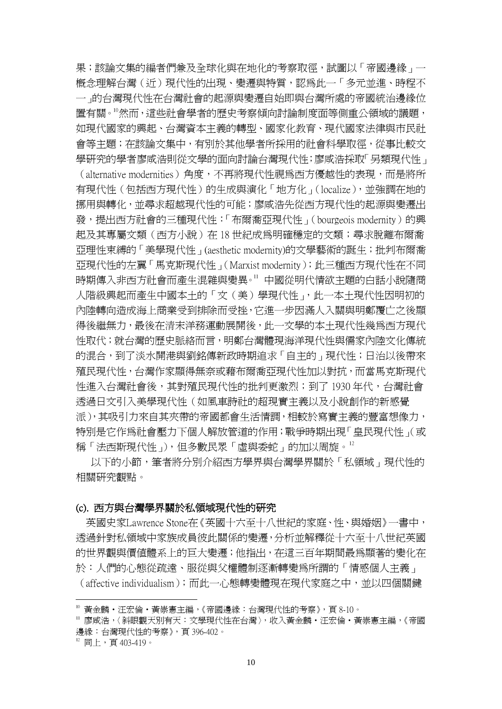果;該論文集的編者們兼及全球化與在地化的考察取徑,試圖以「帝國邊緣」一 概念理解台灣(近)現代性的出現、變遷與特質,認為此一「多元並進、時程不 一」的台灣現代性在台灣社會的起源與變遷自始即與台灣所處的帝國統治邊緣位 置有關[。10](#page-12-0)然而,這些社會學者的歷史考察傾向討論制度面等側重公領域的議題, 如現代國家的興起、台灣資本主義的轉型、國家化教育、現代國家法律與市民社 會等主題;在該論文集中,有別於其他學者所採用的社會科學取徑,從事比較文 學研究的學者廖咸浩則從文學的面向討論台灣現代性;廖咸浩採取「另類現代性」 (alternative modernities)角度,不再將現代性視為西方優越性的表現,而是將所 有現代性(包括西方現代性)的生成與演化「地方化」(localize),並強調在地的 挪用與轉化,並尋求超越現代性的可能;廖咸浩先從西方現代性的起源與變遷出 發,提出西方社會的三種現代性:「布爾喬亞現代性」(bourgeois modernity)的興 起及其專屬文類(西方小說)在 18 世紀成爲明確穩定的文類;尋求脫離布爾喬 亞理性束縛的「美學現代性」(aesthetic modernity)的文學藝術的誕生;批判布爾喬 亞現代性的左翼「馬克斯現代性」(Marxist modernity);此三種西方現代性在不同 時期傳入非西方社會而產生混雜與變異[。11](#page-12-1) 中國從明代情欲主題的白話小說隨商 人階級興起而產生中國本土的「文(美)學現代性」,此一本土現代性因明初的 內陸轉向造成海上商業受到排除而受挫,它進一步因滿人入關與明鄭覆亡之後顯 得後繼無力,最後在清末洋務運動展開後,此一文學的本土現代性幾為西方現代 性取代;就台灣的歷史脈絡而言,明鄭台灣體現海洋現代性與儒家內陸文化傳統 的混合,到了淡水開港與劉銘傳新政時期追求「自主的」現代性;日治以後帶來 殖民現代性,台灣作家顯得無奈或藉布爾喬亞現代性加以對抗,而當馬克斯現代 性進入台灣社會後,其對殖民現代性的批判更激烈;到了 1930 年代,台灣社會 透過日文引入美學現代性(如風車詩社的超現實主義以及小說創作的新感覺 派),其吸引力來自其夾帶的帝國都會生活情調,相較於寫實主義的豐富想像力, 特別是它作為社會壓力下個人解放管道的作用;戰爭時期出現「皇民現代性」(或 稱「法西斯現代性」),但多數民眾「虛與委蛇」的加以周旋。[12](#page-12-2)

以下的小節,筆者將分別介紹西方學界與台灣學界關於「私領域」現代性的 相關研究觀點。

#### (c). 西方與台灣學界關於私領域現代性的研究

英國史家Lawrence Stone在《英國十六至十八世紀的家庭、性、與婚姻》一書中, 透過針對私領域中家族成員彼此關係的變遷,分析並解釋從十六至十八世紀英國 的世界觀與價值體系上的巨大變遷;他指出,在這三百年期間最為顯著的變化在 於:人們的心態從疏遠、服從與父權體制逐漸轉變為所謂的「情感個人主義」 (affective individualism);而此一心態轉變體現在現代家庭之中,並以四個關鍵

<span id="page-12-1"></span><span id="page-12-0"></span><sup>。&</sup>lt;br>黄金麟・汪宏倫・黃崇憲主編,《帝國邊緣:台灣現代性的考察》,頁 8-10。<br>'' 廖咸浩,〈斜眼觀天別有天:文學現代性在台灣〉,收入黃金麟・汪宏倫・黃崇憲主編,《帝國 邊緣:台灣現代性的考察》, 頁 396-402。<br><sup>12</sup> 同上,百 403-419。

<span id="page-12-2"></span>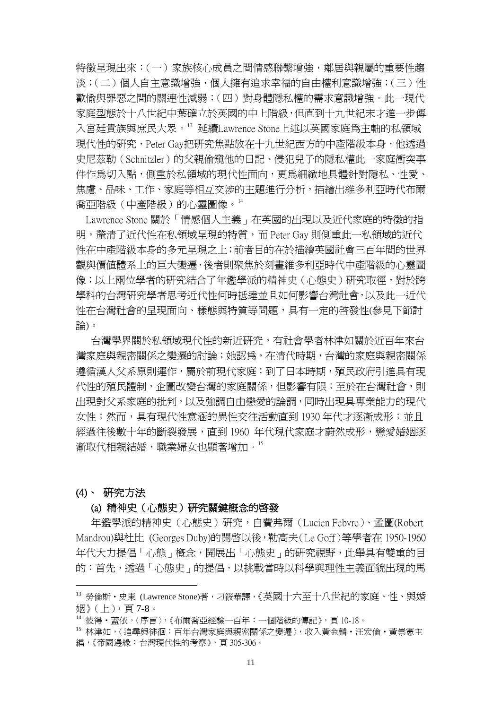特徵呈現出來:(一)家族核心成員之間情感聯繫增強,鄰居與親屬的重要性趨 淡;(二)個人中主意識增強,個人擁有追求幸福的自由權利意識增強;(三)性 歡愉與罪惡之間的關連性減弱;(四)對身體隱私權的需求意識增強。此一現代 家庭型態於十八世紀中葉確立於英國的中上階級,但直到十九世紀末才進一步傳 入宮廷貴族與庶民大眾。<sup>[13](#page-13-0)</sup> 延續Lawrence Stone上述以英國家庭為主軸的私領域 現代性的研究,Peter Gav把研究焦點放在十九世紀西方的中產階級本身,他透過 史尼茲勒(Schnitzler)的父親偷窺他的日記、侵犯兒子的隱私權此一家庭衝突事 件作為切入點,側重於私領域的現代性面向,更為細緻地具體針對隱私、性愛、 焦慮、品味、工作、家庭等相互交涉的主題淮行分析,描繪出維多利亞時代布爾 喬亞階級(中產階級)的心靈圖像。[14](#page-13-1)

Lawrence Stone 關於「情感個人主義」在英國的出現以及近代家庭的特徵的指 明,釐清了近代性在私領域呈現的特質,而 Peter Gay 則側重此一私領域的近代 性在中產階級本身的多元呈現之上;前者目的在於描繪英國社會三百年間的世界 觀與價值體系上的巨大變遷,後者則聚焦於刻畫維多利亞時代中產階級的心靈圖 像;以上兩位學者的研究結合了年鑑學派的精神史(心態史)研究取徑,對於跨 學科的台灣研究學者思考近代性何時抵達並且如何影響台灣社會,以及此一近代 性在台灣社會的呈現面向、樣態與特質等問題,具有一定的啟發性(參見下節討 論)。

台灣學界關於私領域現代性的新近研究,有社會學者林津如關於近百年來台 灣家庭與親密關係之變遷的討論;她認為,在清代時期,台灣的家庭與親密關係 適循漢人父系原則運作,屬於前現代家庭;到了日本時期,殖民政府引進具有現 代性的殖民體制,企圖改變台灣的家庭關係,但影響有限;至於在台灣社會,則 出現對父系家庭的批判,以及強調自由戀愛的論調,同時出現具專業能力的現代 女性;然而,具有現代性意涵的異性交往活動直到 1930 年代才逐漸成形;並且 經過往後數十年的斷裂發展,直到 1960 年代現代家庭才蔚然成形,戀愛婚姻逐 漸取代相親結婚,職業婦女也顯著增加。[15](#page-13-2)

#### (4)、 研究方法

1

#### (a) 精神史(心態史)研究關鍵概念的啟發

 年鑑學派的精神史(心態史)研究,自費弗爾(Lucien Febvre)、孟圖(Robert Mandrou)與杜比 (Georges Duby)的開啟以後,勒高夫(Le Goff)等學者在 1950-1960 年代大力提倡「心態」概念,開展出「心態史」的研究視野,此舉具有雙重的目 的:首先,透過「心態史」的提倡,以挑戰當時以科學與理性主義面貌出現的馬

<span id="page-13-0"></span><sup>13</sup> 勞倫斯·史東 (Lawrence Stone)著,刁筱華譯,《英國十六至十八世紀的家庭、性、與婚 姻》(上),頁 7-8。

<span id="page-13-1"></span><sup>14</sup> 彼得‧蓋依,〈序言〉,《布爾喬亞經驗一百年:一個階級的傳記》,頁 10-18。

<span id="page-13-2"></span><sup>15</sup> 林津如,〈追尋與徘徊:百年台灣家庭與親密關係之變遷〉,收入黃金麟·汪宏倫·黃崇憲主 編,《帝國邊緣:台灣現代性的考察》, 百305-306。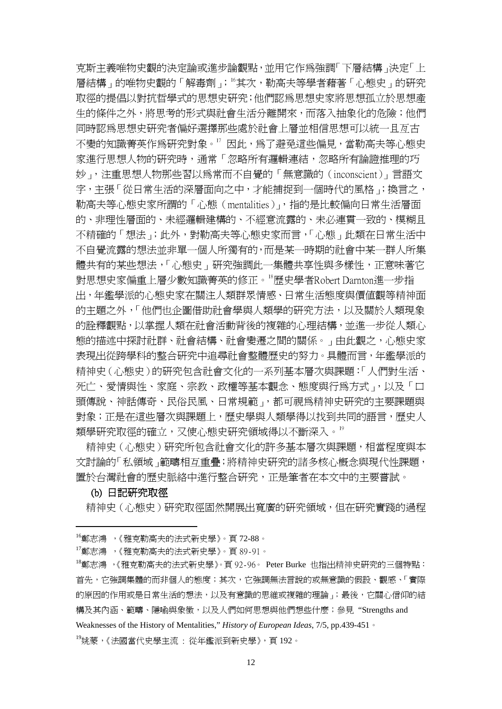克斯主義唯物史觀的決定論或進步論觀點,並用它作為強調「下層結構」決定「上 層結構」的唯物史觀的「解毒劑」; <sup>[16](#page-14-0)</sup>其次, 勒高夫等學者藉著「心態史」的研究 取徑的提倡以對抗哲學式的思想史研究;他們認為思想史家將思想孤立於思想產 生的條件之外,將思考的形式與社會生活分離開來,而落入抽象化的危險;他們 同時認為思想史研究者偏好選擇那些處於社會上層並相信思想可以統一且亙古 不變的知識菁英作為研究對象。"因此,為了避免這些偏見,當勒高夫等心態史 家進行思想人物的研究時,通常「忽略所有邏輯連結,忽略所有論證推理的巧」 妙」,注重思想人物那些習以為常而不自覺的「無意識的(inconscient)」言語文 字,主張「從日常生活的深層面向之中,才能捕捉到一個時代的風格;換言之, 勒高夫等心態史家所謂的「心態(mentalities)」,指的是比較偏向日常生活層面 的、非理性層面的、未經邏輯建構的、不經意流露的、未必連貫一致的、模糊且 不精確的「想法」;此外,對勒高夫等心態史家而言,「心態」此類在日常生活中 不自覺流露的想法並非單一個人所獨有的,而是某一時期的社會中某一群人所集 體共有的某些想法,「心態史」研究強調此一集體共享性與多樣性,正意味著它 對思想史家偏重上層少數知識菁英的修正。[18](#page-14-2)歷史學者Robert Darnton進一步指 出,年鑑學派的心態史家在關注人類群眾情感、日常生活態度與價值觀等精神面 的主題之外,「他們也企圖借助社會學與人類學的研究方法,以及關於人類現象 的詮釋觀點,以掌握人類在社會活動背後的複雜的心理結構,並進一步從人類心 態的描述中探討社群、社會結構、社會變遷之間的關係。」由此觀之,心態史家 表現出從跨學科的整合研究中追尋社會整體歷史的努力。具體而言,年鑑學派的 精神史(心態史)的研究包含社會文化的一系列基本層次與課題:「人們對生活、 死亡、愛情與性、家庭、宗教、政權等基本觀念、態度與行為方式」,以及「口 頭傳說、神話傳奇、民俗民風、日常規範」,都可視為精神史研究的主要課題與 對象;正是在這些層次與課題上,歷史學與人類學得以找到共同的語言,歷史人 類學研究取徑的確立,又使心態史研究領域得以不斷深入。[19](#page-14-3)

精神史(心態史)研究所包含社會文化的許多基本層次與課題,相當程度與本 文討論的「私領域」範疇相互重疊;將精神史研究的諸多核心概念與現代性課題, 置於台灣社會的歷史脈絡中進行整合研究,正是筆者在本文中的主要嘗試。

#### (b) 日記研究取徑

1

精神史(心態史)研究取徑固然開展出寬廣的研究領域,但在研究實踐的過程

<span id="page-14-0"></span><sup>16</sup>鄭志鴻 ,《雅克勒高夫的法式新史學》。頁 72-88。

<span id="page-14-1"></span><sup>17</sup>鄭志鴻 ,《雅克勒高夫的法式新史學》。頁 89-91。

<span id="page-14-3"></span><span id="page-14-2"></span><sup>18</sup>鄭志鴻 ,《雅克勒高夫的法式新史學》。頁 92-96。 Peter Burke 也指出精神史研究的三個特點: 首先,它強調集體的而非個人的態度;其次,它強調無法言說的或無意識的假設、觀感、「實際 的原因的作用或是日常生活的想法,以及有意識的思維或複雜的理論」;最後,它關心信仰的結 構及其內涵、範疇、隱喻與象徵,以及人們如何思想與他們想些什麼;參見 "Strengths and Weaknesses of the History of Mentalities," *History of European Ideas*, 7/5, pp.439-451。 <sup>19</sup>姚蒙,《法國當代史學主流 : 從年鑑派到新史學》,頁 192。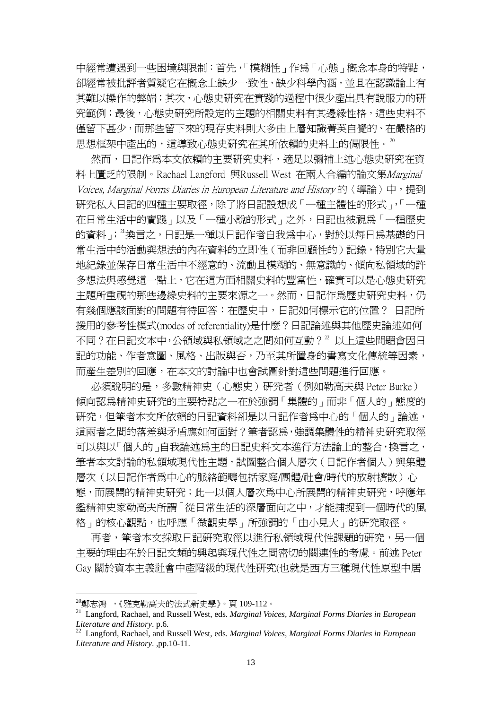中經常遭遇到一些困境與限制:首先,「模糊性」作為「心態」概念本身的特點, 卻經常被批評者質疑它在概念上缺少一致性,缺少科學內涵,並且在認識論上有 其難以操作的弊端;其次,心態史研究在實踐的過程中很少產出具有說服力的研 究範例;最後,心態史研究所設定的主題的相關史料有其邊緣性格,這些史料不 僅留下甚少,而那些留下來的現存史料則大多由上層知識菁英自覺的、在嚴格的 思想框架中產出的,這導致心態史研究在其所依賴的史料上的侷限性。[20](#page-15-0)

然而,日記作爲本文依賴的主要研究史料,適足以彌補上述心態史研究在資 料上匱乏的限制。Rachael Langford 與Russell West 在兩人合編的論文集Marginal Voices, Marginal Forms Diaries in European Literature and History 的〈導論〉中, 提到 研究私人日記的四種主要取徑,除了將日記設想成「一種主體性的形式」,「一種 在日常生活中的實踐」以及「一種小說的形式」之外,日記也被視為「一種歷史 的資料; "換言之, 日記是一種以日記作者自我為中心, 對於以每日為基礎的日 常生活中的活動與想法的內在資料的立即性(而非回顧性的)記錄,特別它大量 地紀錄並保存日常生活中不經意的、流動且模糊的、無意識的、傾向私領域的許 多想法與感覺這一點上,它在這方面相關史料的豐富性,確實可以是心態史研究 主題所重視的那些邊緣史料的主要來源之一。然而,日記作為歷史研究史料,仍 有幾個應該面對的問題有待回答:在歷史中,日記如何標示它的位置? 日記所 援用的參考性模式(modes of referentiality)是什麼?日記論述與其他歷史論述如何 不同?在日記文本中,公領域與私領域之之間如何互動?"以上這些問題會因日 記的功能、作者意圖、風格、出版與否,乃至其所置身的書寫文化傳統等因素, 而產生差別的回應,在本文的討論中也會試圖針對這些問題進行回應。

必須說明的是,多數精神史(心態史)研究者(例如勒高夫與 Peter Burke) 傾向認為精神史研究的主要特點之一在於強調「集體的」而非「個人的」態度的 研究,但筆者本文所依賴的日記資料卻是以日記作者爲中心的「個人的」論述, 這兩者之間的落差與矛盾應如何面對?筆者認為,強調集體性的精神史研究取徑 可以與以「個人的」自我論述為主的日記史料文本進行方法論上的整合,換言之, 筆者本文討論的私領域現代性主題,試圖整合個人層次(日記作者個人)與集體 層次(以日記作者爲中心的脈絡範疇包括家庭/團體/社會/時代的放射擴散)心 態,而展開的精神史研究;此一以個人層次為中心所展開的精神史研究,呼應年 鑑精神史家勒高夫所謂「從日常生活的深層面向之中,才能捕捉到一個時代的風 格」的核心觀點,也呼應「微觀史學」所強調的「由小見大」的研究取徑。

再者,筆者本文採取日記研究取徑以進行私領域現代性課題的研究,另一個 主要的理由在於日記文類的興起與現代性之間密切的關連性的考慮。前述 Peter Gay 關於資本主義社會中產階級的現代性研究(也就是西方三種現代性原型中居

<u>.</u>

<span id="page-15-0"></span><sup>20</sup>鄭志鴻 ,《雅克勒高夫的法式新史學》。頁 109-112。

<span id="page-15-1"></span><sup>21</sup> Langford, Rachael, and Russell West, eds. *Marginal Voices, Marginal Forms Diaries in European Literature and History.* p.6.<br><sup>22</sup> Langford, Rachael, and Russell West, eds. *Marginal Voices, Marginal Forms Diaries in European* 

<span id="page-15-2"></span>*Literature and History*. ,pp.10-11.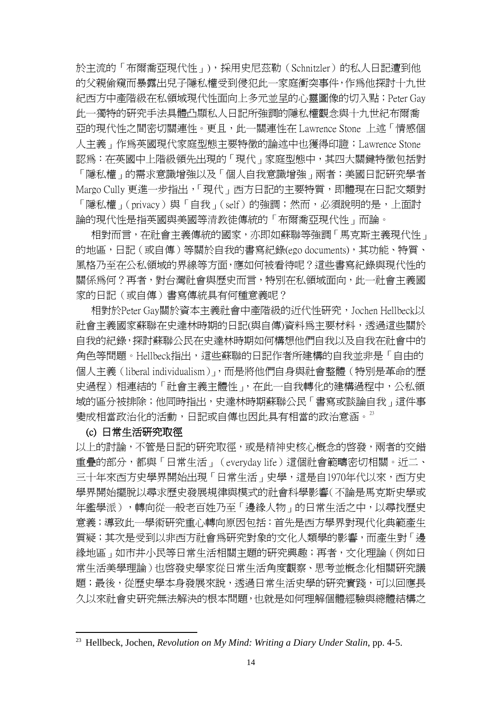於主流的「布爾喬亞現代性」),採用史尼茲勒(Schnitzler)的私人日記遭到他 的父親偷窺而暴露出兒子隱私權受到侵犯此一家庭衝突事件,作為他探討十九世 紀西方中產階級在私領域現代性面向上多元並呈的心靈圖像的切入點;Peter Gay 此一獨特的研究手法具體凸顯私人日記所強調的隱私權觀念與十九世紀布爾喬 亞的現代性之間密切關連性。更且,此一關連性在 Lawrence Stone 上述「情感個 人主義」作為英國現代家庭型態主要特徵的論述中也獲得印證;Lawrence Stone 認為:在英國中上階級領先出現的「現代」家庭型態中,其四大關鍵特徵包括對 「隱私權」的需求意識增強以及「個人自我意識增強」兩者;美國日記研究學者 Margo Cully 更進一步指出,「現代」西方日記的主要特質,即體現在日記文類對 「隱私權」(privacy)與「自我」(self)的強調;然而,必須說明的是,上面討 論的現代性是指英國與美國等清教徒傳統的「布爾喬亞現代性」而論。

相對而言,在社會主義傳統的國家,亦即如蘇聯等強調「馬克斯主義現代性」 的地區,日記(或自傳)等關於自我的書寫紀錄(ego documents),其功能、特質、 風格乃至在公私領域的界線等方面,應如何被看待呢?這些書寫紀錄與現代性的 關係為何?再者,對台灣社會與歷史而言,特別在私領域面向,此一社會主義國 家的日記(或自傳)書寫傳統具有何種意義呢?

相對於Peter Gay關於資本主義社會中產階級的近代性研究,Jochen Hellbeck以 社會主義國家蘇聯在史達林時期的日記(與自傳)資料為主要材料,透過這些關於 自我的紀錄,探討蘇聯公民在史達林時期如何構想他們自我以及自我在社會中的 角色等問題。Hellbeck指出,這些蘇聯的日記作者所建構的自我並非是「自由的 個人主義(liberal individualism)」,而是將他們自身與社會整體(特別是革命的歷 史過程)相連結的「社會主義主體性」,在此一自我轉化的建構過程中,公私領 域的區分被排除;他同時指出,史達林時期蘇聯公民「書寫或談論自我」這件事 變成相當政治化的活動,日記或自傳也因此具有相當的政治意涵。[23](#page-16-0)

#### (c) 日常生活研究取徑

<u>.</u>

以上的討論,不管是日記的研究取徑,或是精神史核心概念的啟發,兩者的交錯 重疊的部分,都與「日常生活」(everyday life)這個社會範疇密切相關。近二、 三十年來西方史學界開始出現「日常生活」史學,這是自1970年代以來,西方史 學界開始擺脫以尋求歷史發展規律與模式的社會科學影響(不論是馬克斯史學或 年鑑學派),轉向從一般老百姓乃至「邊緣人物」的日常生活之中,以尋找歷史 意義;導致此一學術研究重心轉向原因包括:首先是西方學界對現代化典範產生 質疑;其次是受到以非西方社會為研究對象的文化人類學的影響,而產生對「邊 緣地區」如市井小民等日常生活相關主題的研究興趣;再者,文化理論(例如日 常生活美學理論)也啟發史學家從日常生活角度觀察、思考並概念化相關研究議 題;最後,從歷史學本身發展來說,透過日常生活史學的研究實踐,可以回應長 久以來社會史研究無法解決的根本問題,也就是如何理解個體經驗與總體結構之

<span id="page-16-0"></span><sup>23</sup> Hellbeck, Jochen, *Revolution on My Mind: Writing a Diary Under Stalin*, pp. 4-5.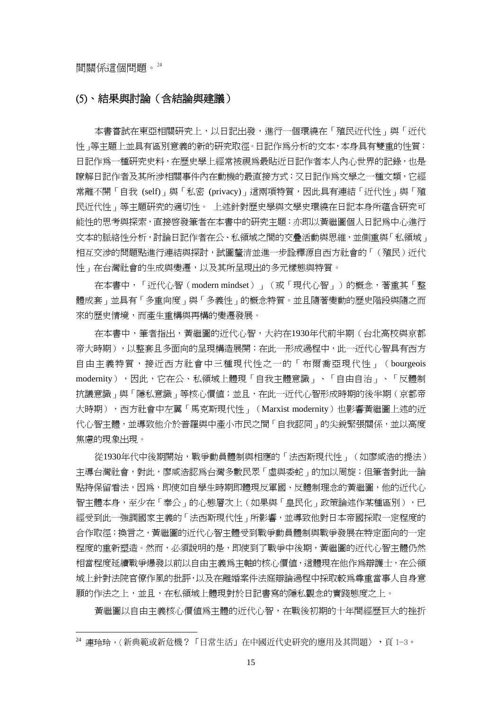1

#### (5)、結果與討論(含結論與建議)

本書嘗試在東亞相關研究上,以日記出發,進行一個環繞在「殖民近代性」與「近代 性」等主題上並具有區別意義的新的研究取徑。日記作為分析的文本,本身具有雙重的性質: 日記作為一種研究史料,在歷史學上經常被視為最貼近日記作者本人內心世界的記錄,也是 瞭解日記作者及其所涉相關事件內在動機的最直接方式;又日記作為文學之一種文類,它經 常離不開「自我 (self)」與「私密 (privacy)」這兩項特質,因此具有連結「近代性」與「殖 民近代性」等主題研究的適切性。 上述針對歷史學與文學史環繞在日記本身所蘊含研究可 能性的思考與探索, 直接啓發筆者在本書中的研究主題: 亦即以黃繼圖個人日記為中心進行 文本的脈絡性分析,討論日記作者在公、私領域之間的交疊活動與思維,並側重與「私領域」 相互交涉的問題點進行連結與探討,試圖釐清並進一步詮釋源自西方社會的「(殖民)近代 性」在台灣社會的生成與變遷,以及其所呈現出的多元樣態與特質。

在本書中,「近代心智(modern mindset)」(或「現代心智」)的概念,著重其「整 體成套」並具有「多重向度」與「多義性」的概念特質。並且隨著變動的歷史階段與隨之而 來的歷史情境,而產生重構與再構的變遷發展。

在本書中,筆者指出,黃繼圖的近代心智,大約在1930年代前半期(台北高校與京都 帝大時期),以整套且多面向的呈現構造展開;在此一形成過程中,此一近代心智具有西方 自由主義特質,接近西方社會中三種現代性之一的「布爾喬亞現代性」(bourgeois modernity),因此,它在公、私領域上體現「自我主體意識」、「自由自治」、「反體制 抗議意識」與「隱私意識」等核心價值;並且,在此一近代心智形成時期的後半期(京都帝 大時期),西方社會中左翼「馬克斯現代性」(Marxist modernity)也影響黃繼圖上述的近 代心智主體,並導致他介於普羅與中產小市民之間「自我認同」的尖銳緊張關係,並以高度 焦慮的現象出現。

從1930年代中後期開始,戰爭動員體制與相應的「法西斯現代性」(如廖咸浩的提法) 主導台灣社會,對此,廖咸浩認為台灣多數民眾「虛與委蛇」的加以周旋;但筆者對此一論 點持保留看法,因為,即使如自學生時期即體現反軍國、反體制理念的黃繼圖,他的近代心 智主體本身,至少在「奉公」的心態層次上(如果與「皇民化」政策論述作某種區別),已 經受到此一強調國家主義的「法西斯現代性」所影響,並導致他對日本帝國採取一定程度的 合作取徑;換言之,黃繼圖的近代心智主體受到戰爭動員體制與戰爭發展在特定面向的一定 程度的重新塑造。然而,必須說明的是,即使到了戰爭中後期,黃繼圖的近代心智主體仍然 相當程度延續戰爭爆發以前以自由主義為主軸的核心價值,這體現在他作為辯護士,在公領 域上針對法院官僚作風的批評,以及在離婚案件法庭辯論過程中採取較為尊重當事人自身意 願的作法之上,並且,在私領域上體現對於日記書寫的隱私觀念的實踐態度之上。

黃繼圖以自由主義核心價值為主體的近代心智,在戰後初期的十年間經歷巨大的挫折

<span id="page-17-0"></span><sup>24</sup> 連玲玲,〈新典範或新危機?「日常生活」在中國近代史研究的應用及其問題〉,頁 1-3。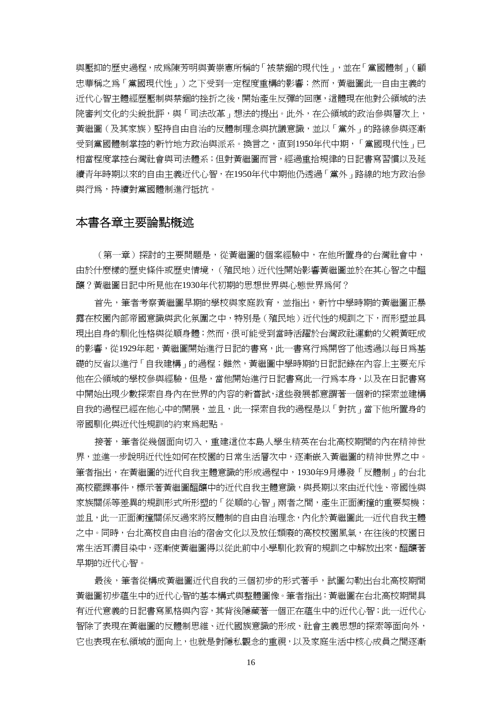與壓抑的歷史過程,成為陳芳明與黃崇憲所稱的「被禁錮的現代性」,並在「黨國體制」(顧 忠華稱之為「黨國現代性」)之下受到一定程度重構的影響;然而,黃繼圖此一自由主義的 近代心智主體經歷壓制與禁錮的挫折之後,開始產生反彈的回應,這體現在他對公領域的法 院審判文化的尖銳批評,與「司法改革」想法的提出。此外,在公領域的政治參與層次上, 黃繼圖(及其家族)堅持自由自治的反體制理念與抗議意識,並以「黨外」的路線參與逐漸 受到黨國體制掌控的新竹地方政治與派系。換言之,直到1950年代中期,「黨國現代性」已 相當程度掌控台灣社會與司法體系;但對黃繼圖而言,經過重拾規律的日記書寫習慣以及延 續青年時期以來的自由主義近代心智,在1950年代中期他仍透過「黨外」路線的地方政治參 與行為,持續對黨國體制進行抵抗。

#### 本書各章主要論點概述

(第一章)探討的主要問題是,從黃繼圖的個案經驗中,在他所置身的台灣社會中, 由於什麼樣的歷史條件或歷史情境,(殖民地)近代性開始影響黃繼圖並於在其心智之中醞 釀?黃繼圖日記中所見他在1930年代初期的思想世界與心態世界為何?

首先,筆者考察黃繼圖早期的學校與家庭教育,並指出,新竹中學時期的黃繼圖正暴 露在校園內部帝國意識與武化氛圍之中,特別是(殖民地)近代性的規訓之下,而形塑並具 現出自身的馴化性格與從順身體;然而,很可能受到當時活躍於台灣政社運動的父親黃旺成 的影響,從1929年起,黃繼圖開始淮行日記的書寫,此一書寫行為開啓了他透過以每日為基 礎的反省以進行「自我建構」的過程;雖然,黃繼圖中學時期的日記記錄在內容上主要充斥 他在公領域的學校參與經驗,但是,當他開始進行日記書寫此一行為本身,以及在日記書寫 中開始出現少數探索自身內在世界的內容的新嘗試,這些發展都意謂著一個新的探索並建構 自我的過程已經在他心中的開展,並且,此一探索自我的過程是以「對抗」當下他所置身的 帝國馴化與近代性規訓的約束為起點。

接著,筆者從幾個面向切入,重建這位本島人學生精英在台北高校期間的內在精神世 界,並進一步說明近代性如何在校園的日常生活層次中,逐漸嵌入黃繼圖的精神世界之中。 筆者指出,在黃繼圖的近代自我主體意識的形成過程中,1930年9月爆發「反體制」的台北 高校罷課事件,標示著黃繼圖醞釀中的近代自我主體意識,與長期以來由近代性、帝國性與 家族關係等差異的規訓形式所形塑的「從順的心智」兩者之間,產生正面衝撞的重要契機; 並且,此一正面衝撞關係反過來將反體制的自由自治理念,內化於黃繼圖此一近代自我主體 之中。同時,台北高校自由自治的宿舍文化以及放任頹廢的高校校園風氣,在往後的校園日 常生活耳濡目染中,逐漸使黃繼圖得以從此前中小學馴化教育的規訓之中解放出來,醞釀著 早期的近代心智。

最後,筆者從構成黃繼圖近代自我的三個初步的形式著手,試圖勾勒出台北高校期間 黃繼圖初步蘊生中的近代心智的基本構式與整體圖像。筆者指出:黃繼圖在台北高校期間具 有近代意義的日記書寫風格與內容,其背後隱藏著一個正在蘊生中的近代心智;此一近代心 智除了表現在黃繼圖的反體制思維、近代國族意識的形成、社會主義思想的探索等面向外, 它也表現在私領域的面向上,也就是對隱私觀念的重視,以及家庭生活中核心成員之間逐漸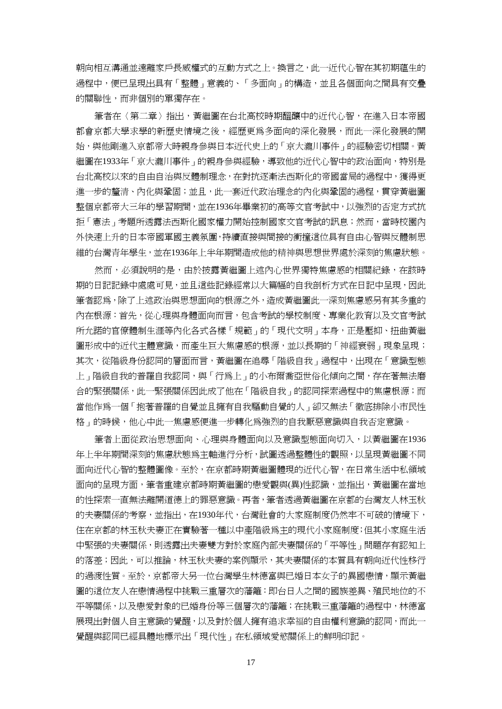朝向相互溝通並遠離家戶長威權式的互動方式之上。換言之,此一近代心智在其初期蘊生的 過程中,便已呈現出具有「整體」意義的、「多面向」的構造,並且各個面向之間具有交疊 的關聯性,而非個別的單獨存在。

筆者在〈第二章〉指出,黃繼圖在台北高校時期醞釀中的近代心智,在進入日本帝國 都會京都大學求學的新歷史情境之後,經歷更為多面向的深化發展,而此一深化發展的開 始,與他剛淮入京都帝大時親身參與日本近代史上的「京大瀧川事件」的經驗密切相關。黃 繼圖在1933年「京大瀧川事件」的親身參與經驗,導致他的近代心智中的政治面向,特別是 台北高校以來的自由自治與反體制理念,在對抗逐漸法西斯化的帝國當局的過程中,獲得更 進一步的釐清、內化與鞏固;並且,此一套近代政治理念的內化與鞏固的過程,貫穿黃繼圖 整個京都帝大三年的學習期間,並在1936年畢業初的高等文官考試中,以強烈的否定方式抗 拒「憲法」考題所透露法西斯化國家權力開始控制國家文官考試的訊息;然而,當時校園內 外快速上升的日本帝國軍國主義氛圍,持續直接與間接的衝撞這位具有自由心智與反體制思 維的台灣青年學生,並在1936年上半年期間造成他的精神與思想世界處於深刻的焦慮狀態。

然而,必須說明的是,由於披露黃繼圖上述內心世界獨特焦慮感的相關紀錄,在該時 期的日記記錄中處處可見,並且這些記錄經常以大篇幅的自我剖析方式在日記中呈現,因此 筆者認爲,除了上述政治與思想面向的根源之外,造成黃繼圖此一深刻焦慮感另有其多重的 內在根源:首先,從心理與身體面向而言,包含考試的學校制度、專業化教育以及文官考試 所允諾的官僚體制生涯等內化各式各樣「規範」的「現代文明」本身,正是壓抑、扭曲黃繼 圖形成中的近代主體意識,而產生巨大焦慮感的根源,並以長期的「神經衰弱」現象呈現; 其次,從階級身份認同的層面而言,黃繼圖在追尋「階級自我」過程中,出現在「意識型態 上」階級自我的普羅自我認同,與「行為上」的小布爾喬亞世俗化傾向之間,存在著無法磨 合的緊張關係,此一緊張關係因此成了他在「階級自我」的認同探索過程中的焦慮根源;而 當他作爲一個「抱著普羅的自覺並且擁有自我驅動自覺的人」卻又無法「徹底排除小市民性 格」的時候,他心中此一焦慮感便進一步轉化爲強烈的自我厭惡意識與自我否定意識。

筆者上面從政治思想面向、心理與身體面向以及意識型態面向切入,以黃繼圖在1936 年上半年期間深刻的焦慮狀態為主軸進行分析,試圖透過整體性的觀照,以呈現黃繼圖不同 面向近代心智的整體圖像。至於,在京都時期黃繼圖體現的近代心智,在日常生活中私領域 面向的呈現方面,筆者重建京都時期黃繼圖的戀愛觀與(異)性認識,並指出,黃繼圖在當地 的性探索一直無法離開道德上的罪惡意識。再者,筆者透過黃繼圖在京都的台灣友人林玉秋 的夫妻關係的考察,並指出,在1930年代,台灣社會的大家庭制度仍然牢不可破的情境下, 住在京都的林玉秋夫妻正在實驗著一種以中產階級為主的現代小家庭制度;但其小家庭生活 中緊張的夫妻關係,則透露出夫妻雙方對於家庭內部夫妻關係的「平等性」問題存有認知上 的落差;因此,可以推論,林玉秋夫妻的案例顯示,其夫妻關係的本質具有朝向近代性移行 的過渡性質。至於,京都帝大另一位台灣學生林德富與已婚日本女子的異國戀情,顯示黃繼 圖的這位友人在戀情過程中挑戰三重層次的藩籬:即台日人之間的國族差異、殖民地位的不 平等關係,以及戀愛對象的已婚身份等三個層次的藩籬;在挑戰三重藩籬的過程中,林德富 展現出對個人自主意識的覺醒,以及對於個人擁有追求幸福的自由權利意識的認同,而此一 覺醒與認同已經具體地標示出「現代性」在私領域愛慾關係上的鮮明印記。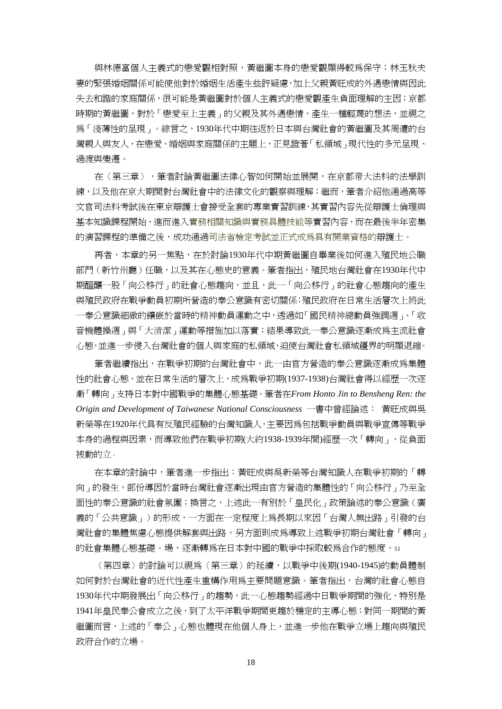與林德富個人主義式的戀愛觀相對照,黃繼圖本身的戀愛觀顯得較為保守;林玉秋夫 妻的緊張婚姻關係可能使他對於婚姻生活產生些許疑慮,加上父親黃旺成的外遇戀情與因此 失去和諧的家庭關係,很可能是黃繼圖對於個人主義式的戀愛觀產生負面理解的主因;京都 時期的黃繼圖,對於「戀愛至上主義」的父親及其外遇戀情,產生一種輕蔑的想法,並視之 為「淺薄性的呈現」。綜言之,1930年代中期往返於日本與台灣社會的黃繼圖及其周遭的台 灣親人與友人,在戀愛、婚姻與家庭關係的主題上,正見證著「私領域」現代性的多元呈現、 過渡與變遷。

在〈第三章〉,筆者討論黃繼圖法律心智如何開始並展開,在京都帝大法科的法學訓 練,以及他在京大期間對台灣社會中的法律文化的觀察與理解;繼而,筆者介紹他通過高等 文官司法科考試後在東京辯護士會接受全套的專業實習訓練,其實習內容先從辯護士倫理與 基本知識課程開始,進而進入實務相關知識與實務具體技能等實習內容,而在最後半年密集 的演習課程的準備之後,成功通過司法省檢定考試並正式成為具有開業資格的辯護士。

再者,本章的另一焦點,在於討論1930年代中期黃繼圖自畢業後如何進入殖民地公職 部門(新竹州廳)任職,以及其在心態史的意義。筆者指出,殖民地台灣社會在1930年代中 期醞釀一股「向公移行」的社會心態趨向,並且,此一「向公移行」的社會心態趨向的產生 與殖民政府在戰爭動員初期所營造的奉公意識有密切關係;殖民政府在日常生活層次上將此 一奉公意識細緻的鑲嵌於當時的精神動員運動之中,透過如「國民精神總動員強調週」、「收 音機體操调」與「大清潔」運動等措施加以落實;結果導致此一奉公意識涿漸成為主流社會 心態,並進一步侵入台灣社會的個人與家庭的私領域,迫使台灣社會私領域疆界的明顯退縮。

筆者繼續指出,在戰爭初期的台灣社會中,此一由官方營造的奉公意識逐漸成為集體 性的社會心態,並在日常生活的層次上,成為戰爭初期(1937-1938)台灣社會得以經歷一次逐 漸「轉向」支持日本對中國戰爭的集體心態基礎。筆者在*From Honto Jin to Bensheng Ren: the Origin and Development of Taiwanese National Consciousness* 一書中曾經論述: 黃旺成與吳 新榮等在1920年代具有反殖民經驗的台灣知識人,主要因為包括戰爭動員與戰爭宣傳等戰爭 本身的過程與因素,而導致他們在戰爭初期(大約1938-1939年間)經歷一次「轉向」,從負面 被動的立。

在本章的討論中,筆者進一步指出:黃旺成與吳新榮等台灣知識人在戰爭初期的「轉 向」的發生,部份導因於當時台灣社會逐漸出現由官方營造的集體性的「向公移行」乃至全 面性的奉公意識的社會氛圍;換言之,上述此一有別於「皇民化」政策論述的奉公意識(廣 義的「公共意識」)的形成,一方面在一定程度上為長期以來因「台灣人無出路」引發的台 灣社會的集體焦慮心態提供解套與出路,另方面則成為導致上述戰爭初期台灣社會「轉向」 的社會集體心態基礎。場,逐漸轉為在日本對中國的戰爭中採取較為合作的態度。<sup>51</sup>

〈第四章〉的討論可以視為〈第三章〉的延續,以戰爭中後期(1940-1945)的動員體制 如何對於台灣社會的近代性產生重構作用為主要問題意識。筆者指出,台灣的社會心態自 1930年代中期發展出「向公移行」的趨勢,此一心態趨勢經過中日戰爭期間的強化,特別是 1941年皇民奉公會成立之後,到了太平洋戰爭期間更趨於穩定的主導心態;對同一期間的黃 繼圖而言,上述的「奉公」心態也體現在他個人身上,並進一步他在戰爭立場上趨向與殖民 政府合作的立場。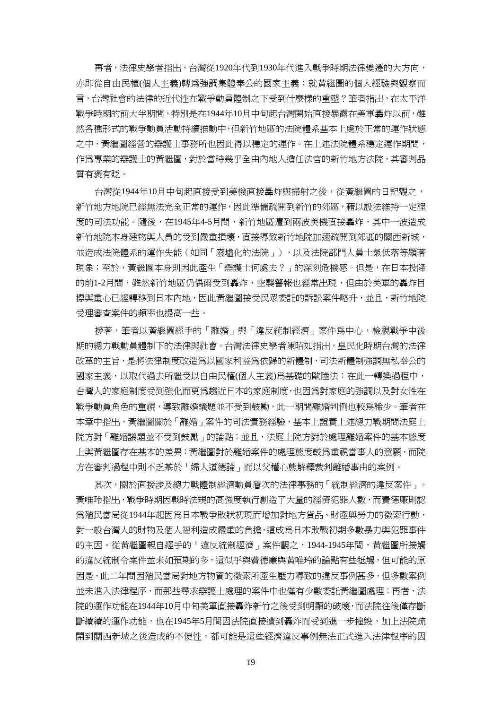再者,法律史學者指出,台灣從1920年代到1930年代進入戰爭時期法律變遷的大方向, 亦即從自由民權(個人主義)轉爲強調集體奉公的國家主義;就黃繼圖的個人經驗與觀察而 言,台灣社會的法律的近代性在戰爭動員體制之下受到什麼樣的重塑?筆者指出,在太平洋 戰爭時期的前大半期間,特別是在1944年10月中旬起台灣開始直接暴露在美軍轟炸以前,雖 然各種形式的戰爭動員活動持續推動中,但新竹地區的法院體系基本上處於正常的運作狀態 之中,黃繼圖經營的辯護士事務所也因此得以穩定的運作。在上述法院體系穩定運作期間, 作為專業的辯護士的黃繼圖,對於當時幾乎全由內地人擔任法官的新竹地方法院,其審判品 質有褒有貶。

台灣從1944年10月中旬起直接受到美機直接轟炸與掃射之後,從黃繼圖的日記觀之, 新竹地方地院已經無法完全正常的運作,因此準備疏開到新竹的郊區,藉以設法維持一定程 度的司法功能。隨後,在1945年4-5月間,新竹地區遭到兩波美機直接轟炸,其中一波浩成 新竹地院本身建物與人員的受到嚴重損壞,直接導致新竹地院加速疏開到郊區的關西新城, 並造成法院體系的運作失能(如同「廢墟化的法院」),以及法院部門人員士氣低落等顯著 現象;至於,黃繼圖本身則因此產生「辯護士何處去?」的深刻危機感。但是,在日本投降 的前1-2月間,雖然新竹地區仍偶爾受到轟炸,空襲警報也經常出現,但由於美軍的轟炸目 標與重心已經轉移到日本內地,因此黃繼圖接受民眾委託的訴訟案件略升,並且,新竹地院 受理審查案件的頻率也提高一些。

接著,筆者以黃繼圖經手的「離婚」與「違反統制經濟」案件為中心,檢視戰爭中後 期的總力戰動員體制下的法律與社會。台灣法律史學者陳昭如指出,皇民化時期台灣的法律 改革的主旨,是將法律制度改造為以國家利益為依歸的新體制,司法新體制強調無私奉公的 國家主義,以取代過去所繼受以自由民權(個人主義)為基礎的歐陸法;在此一轉換過程中, 台灣人的家庭制度受到強化而更為趨近日本的家庭制度,也因為對家庭的強調以及對女性在 戰爭動員角色的重視,導致離婚議題並不受到鼓勵,此一期間離婚判例也較為稀少。筆者在 本章中指出,黃繼圖關於「離婚」案件的司法實務經驗,基本上證實上述總力戰期間法庭上 院方對「離婚議題並不受到鼓勵」的論點;並且,法庭上院方對於處理離婚案件的基本態度 上與黃繼圖存在基本的差異:黃繼圖對於離婚案件的處理態度較為重視當事人的意願,而院 方在審判過程中則不乏基於「婦人道德論」而以父權心態解釋裁判離婚事由的案例。

其次,關於直接涉及總力戰體制經濟動員層次的法律事務的「統制經濟的違反案件」。 黃唯玲指出,戰爭時期因戰時法規的高強度執行創造了大量的經濟犯罪人數,而費德廉則認 為殖民當局從1944年起因為日本戰爭敗狀初現而增加對地方貨品、財產與勞力的徵索行動, 對一般台灣人的財物及個人福利造成嚴重的負擔,這成為日本敗戰初期多數暴力與犯罪事件 的主因。從黃繼圖親自經手的「違反統制經濟」案件觀之,1944-1945年間,黃繼圖所接觸 的違反統制令案件並未如預期的多,這似乎與費德廉與黃唯玲的論點有些牴觸,但可能的原 因是,此二年間因殖民當局對地方物資的徵索所產生壓力導致的違反事例甚多,但多數案例 並未進入法律程序,而那些尋求辯護士處理的案件中也僅有少數委託黃繼圖處理;再者,法 院的運作功能在1944年10月中旬美軍直接轟炸新竹之後受到明顯的破壞,而法院往後僅存斷 斷續續的運作功能,也在1945年5月間因法院直接遭到轟炸而受到進一步摧毀,加上法院疏 開到關西新城之後造成的不便性,都可能是這些經濟違反事例無法正式進入法律程序的因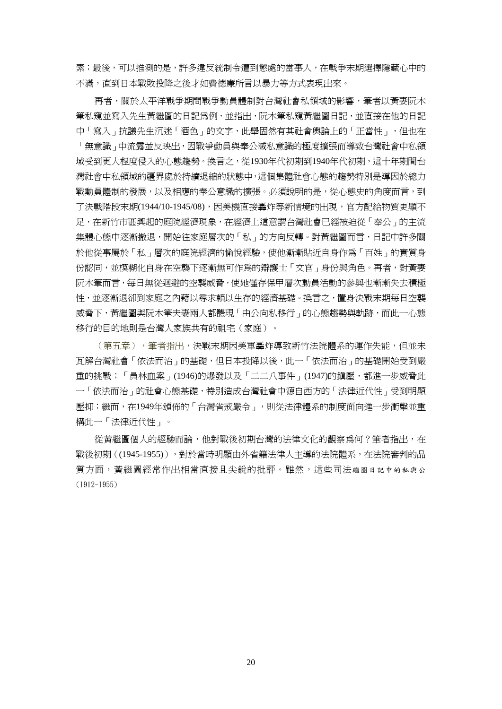素;最後,可以推測的是,許多違反統制令遭到懲處的當事人,在戰爭末期選擇隱藏心中的 不滿,直到日本戰敗投降之後才如費德廉所言以暴力等方式表現出來。

再者,關於太平洋戰爭期間戰爭動員體制對台灣社會私領域的影響,筆者以黃妻阮木 筆私窺並寫入先生黃繼圖的日記為例,並指出,阮木筆私窺黃繼圖日記,並直接在他的日記 中「寫入」抗議先生沉迷「酒色」的文字,此舉固然有其社會輿論上的「正當性」,但也在 「無意識」中流露並反映出,因戰爭動員與奉公滅私意識的極度擴張而導致台灣社會中私領 域受到更大程度侵入的心態趨勢。換言之,從1930年代初期到1940年代初期,這十年期間台 灣社會中私領域的疆界處於持續退縮的狀態中,這個集體社會心態的趨勢特別是導因於總力 戰動員體制的發展,以及相應的奉公意識的擴張。必須說明的是,從心態史的角度而言,到 了決戰階段末期(1944/10-1945/08),因美機直接轟炸等新情境的出現,官方配給物質更顯不 足,在新竹市區興起的庭院經濟現象,在經濟上這意謂台灣社會已經被迫從「奉公」的主流 集體心態中逐漸撤退,開始往家庭層次的「私」的方向反轉。對黃繼圖而言,日記中許多關 於他從事屬於「私」層次的庭院經濟的愉悅經驗,使他漸漸貼近自身作爲「百姓」的實質身 份認同,並模糊化自身在空襲下逐漸無可作為的辯護士「文官」身份與角色。再者,對黃妻 阮木筆而言,每日無從迴避的空襲威脅,使她僅存保甲層次動員活動的參與也漸漸失去積極 性,並逐漸退卻到家庭之內藉以尋求賴以生存的經濟基礎。換言之,置身決戰未期每日空襲 威脅下,黃繼圖與阮木筆夫妻兩人都體現「由公向私移行」的心態趨勢與軌跡,而此一心態 移行的目的地則是台灣人家族共有的祖宅(家庭)。

(第五章),整者指出,決戰末期因美軍轟炸導致新竹法院體系的運作失能,但並未 瓦解台灣社會「依法而治」的基礎,但日本投降以後,此一「依法而治」的基礎開始受到嚴 重的挑戰;「員林血案」(1946)的爆發以及「二二八事件」(1947)的鎮壓,都進一步威脅此 一「依法而治」的社會心態基礎,特別造成台灣社會中源自西方的「法律近代性」受到明顯 壓抑;繼而,在1949年頒佈的「台灣省戒嚴令」,則從法律體系的制度面向進一步衝擊並重 構此一「法律近代性」。

從黃繼圖個人的經驗而論,他對戰後初期台灣的法律文化的觀察為何?筆者指出,在 戰後初期((1945-1955)),對於當時明顯由外省籍法律人主導的法院體系,在法院審判的品 質方面,黃繼圖經常作出相當直接且尖銳的批評。雖然,這些司法繼圖日記中的私與公 (1912-1955)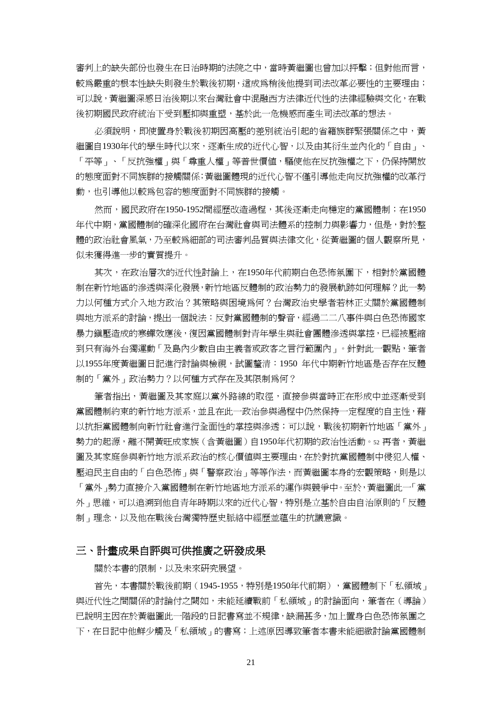審判上的缺失部份也發生在日治時期的法院之中,當時黃繼圖也曾加以抨擊;但對他而言, 較為嚴重的根本性缺失則發生於戰後初期,這成為稍後他提到司法改革必要性的主要理由; 可以說,黃繼圖深感日治後期以來台灣社會中混融西方法律近代性的法律經驗與文化,在戰 後初期國民政府統治下受到壓抑與重塑,基於此一危機感而產生司法改革的想法。

必須說明,即使置身於戰後初期因高壓的差別統治引起的省籍族群緊張關係之中,黃 繼圖自1930年代的學生時代以來,逐漸生成的近代心智,以及由其衍生並內化的「自由」、 「平等」、「反抗強權」與「尊重人權」等普世價值,驅使他在反抗強權之下,仍保持開放 的態度面對不同族群的接觸關係;黃繼圖體現的近代心智不僅引導他走向反抗強權的改革行 動,也引導他以較為包容的態度面對不同族群的接觸。

然而,國民政府在1950-1952間經歷改浩渦程,其後逐漸走向穩定的黨國體制;在1950 年代中期,黨國體制的確深化國府在台灣社會與司法體系的控制力與影響力,但是,對於整 體的政治社會風氣,乃至較為細部的司法審判品質與法律文化,從黃繼圖的個人觀察所見, 似未獲得進一步的實質提升。

其次,在政治層次的近代性討論上,在1950年代前期白色恐怖氛圍下,相對於黨國體 制在新竹地區的滲透與深化發展,新竹地區反體制的政治勢力的發展軌跡如何理解?此一勢 力以何種方式介入地方政治?其策略與困境為何?台灣政治史學者若林正丈關於黨國體制 與地方派系的討論,提出一個說法︰反對黨國體制的聲音,經過二二八事件與白色恐怖國家 暴力鎮壓浩成的寒蟬效應後,復因黨國體制對青年學生與社會團體滲透與掌控,已經被壓縮 到只有海外台獨運動「及島內少數自由主義者或政客之言行範圍內」。針對此一觀點,筆者 以1955年度黃繼圖日記進行討論與檢視,試圖釐清:1950 年代中期新竹地區是否存在反體 制的「黨外」政治勢力?以何種方式存在及其限制為何?

筆者指出,黃繼圖及其家庭以黨外路線的取徑,直接參與當時正在形成中並逐漸受到 黨國體制約束的新竹地方派系,並且在此一政治參與過程中仍然保持一定程度的自主性,藉 以抗拒黨國體制向新竹社會進行全面性的掌控與滲透;可以說,戰後初期新竹地區「黨外」 勢力的起源,離不開黃旺成家族(含黃繼圖)自1950年代初期的政治性活動。52 再者,黃繼 圖及其家庭參與新竹地方派系政治的核心價值與主要理由,在於對抗黨國體制中侵犯人權、 壓迫民主自由的「白色恐怖」與「警察政治」等等作法,而黃繼圖本身的宏觀策略,則是以 「黨外」勢力直接介入黨國體制在新竹地區地方派系的運作與競爭中。至於,黃繼圖此一「黨 外」思維,可以追溯到他自青年時期以來的近代心智,特別是立基於自由自治原則的「反體 制」理念,以及他在戰後台灣獨特歷史脈絡中經歷並蘊生的抗議意識。

#### 三、計畫成果自評與可供推廣之研發成果

關於本書的限制,以及未來研究展望。

首先,本書關於戰後前期 (1945-1955,特別是1950年代前期) ,黨國體制下「私領域」 與近代性之間關係的討論付之闕如,未能延續戰前「私領域」的討論面向,筆者在(導論) 已說明主因在於黃繼圖此一階段的日記書寫並不規律,缺漏甚多,加上置身白色恐怖氛圍之 下,在日記中他鮮少觸及「私領域」的書寫;上述原因導致筆者本書未能細緻討論黨國體制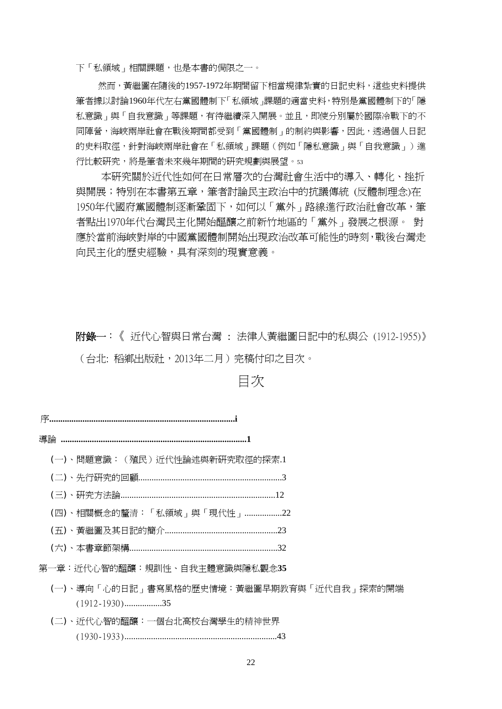下「私領域」相關課題,也是本書的侷限之一。

然而,黃繼圖在隨後的1957-1972年期間留下相當規律紮實的日記史料,這些史料提供 筆者據以討論1960年代左右黨國體制下「私領域」課題的適當史料,特別是黨國體制下的「隱 私意識」與「自我意識」等課題,有待繼續深入開展。並且,即使分別屬於國際冷戰下的不 同陣營,海峽兩岸社會在戰後期間都受到「黨國體制」的制約與影響,因此,透過個人日記 的史料取徑,針對海峽兩岸社會在「私領域」課題(例如「隱私意識」與「自我意識」)進 行比較研究,將是筆者未來幾年期間的研究規劃與展望。<sup>53</sup>

本研究關於近代性如何在日常層次的台灣社會生活中的導入、轉化、挫折 與開展;特別在本書第五章,筆者討論民主政治中的抗議傳統 (反體制理念)在 1950年代國府黨國體制逐漸鞏固下,如何以「黨外」路線進行政治社會改革,筆 者點出1970年代台灣民主化開始醞釀之前新竹地區的「黨外」發展之根源。 對 應於當前海峽對岸的中國黨國體制開始出現政治改革可能性的時刻,戰後台灣走 向民主化的歷史經驗,具有深刻的現實意義。

附錄一:《 近代心智與日常台灣 : 法律人黃繼圖日記中的私與公 (1912-1955)》 (台北: 稻鄉出版社,2013年二月)完稿付印之目次。

#### 目次

序**....................................................................................i** 

導論 **....................................................................................1** 

(一)、問題意識:(殖民)近代性論述與新研究取徑的探索.1

(二)、先行研究的回顧.................................................................3

(三)、研究方法論......................................................................12

(四)、相關概念的釐清:「私領域」與「現代性」.................22

(五)、黃繼圖及其日記的簡介...................................................23

- (六)、本書章節架構...................................................................32
- 第一章:近代心智的醞釀:規訓性、自我主體意識與隱私觀念**35** 
	- (一)、導向「心的日記」書寫風格的歷史情境:黃繼圖早期教育與「近代自我」探索的開端 (1912-1930).................35
	- (二)、近代心智的醞釀:一個台北高校台灣學生的精神世界 (1930-1933).....................................................................43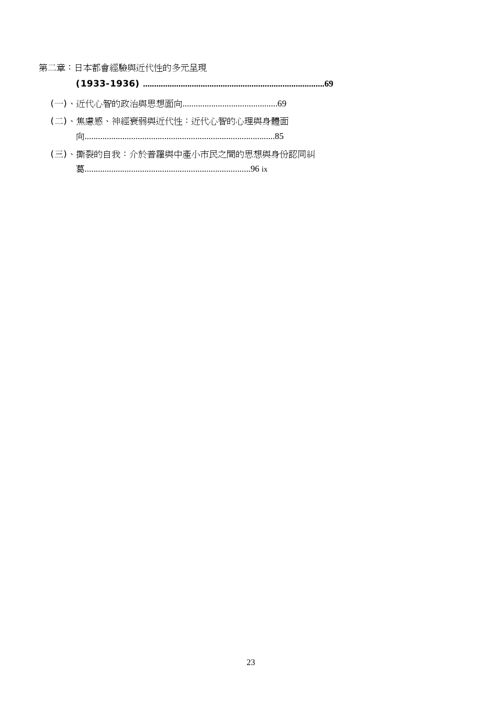第二章:日本都會經驗與近代性的多元呈現

- 
- (二)、焦慮感、神經衰弱與近代性:近代心智的心理與身體面
- (三)、撕裂的自我:介於普羅與中產小市民之間的思想與身份認同糾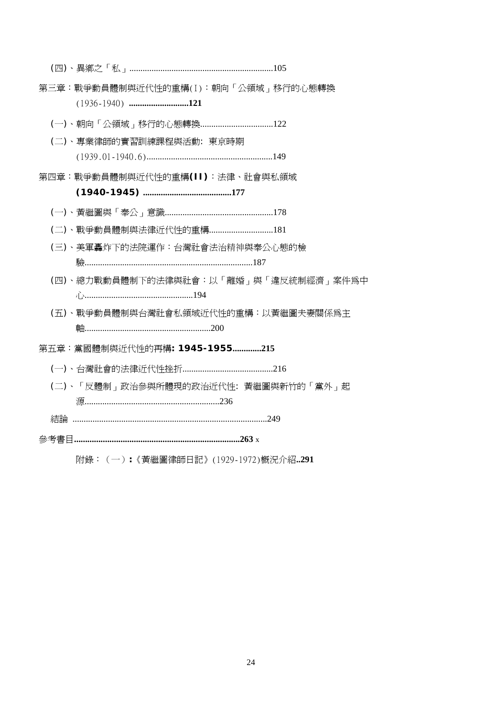| 第三章:戰爭動員體制與近代性的重構(I):朝向「公領域」移行的心態轉換   |
|---------------------------------------|
|                                       |
| (二)、專業律師的實習訓練課程與活動: 東京時期              |
| 第四章:戰爭動員體制與近代性的重構(II):法律、社會與私領域       |
|                                       |
|                                       |
|                                       |
| (三)、美軍轟炸下的法院運作:台灣社會法治精神與奉公心熊的檢        |
|                                       |
| (四)、總力戰動員體制下的法律與社會:以「離婚」與「違反統制經濟」案件爲中 |
| (五)、戰爭動員體制與台灣社會私領域近代性的重構:以黃繼圖夫妻關係爲主   |
| 第五章:黨國體制與近代性的再構: 1945-1955215         |
|                                       |
| (二)、「反體制」政治參與所體現的政治近代性: 黃繼圖與新竹的「黨外」起  |
|                                       |
| 結論 …………………………………………………………………………249    |
|                                       |

附錄:(一)**:**《黃繼圖律師日記》(1929-1972)概況介紹**..291**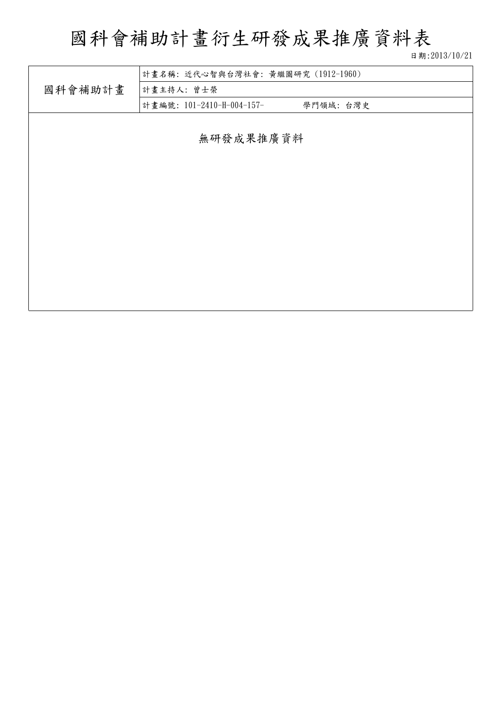## 國科會補助計畫衍生研發成果推廣資料表

日期:2013/10/21

|           | 計畫名稱:近代心智與台灣社會:黃繼圖研究 (1912-1960)      |  |  |  |  |
|-----------|---------------------------------------|--|--|--|--|
| 國科會補助計畫   | 計畫主持人: 曾士榮                            |  |  |  |  |
|           | 計畫編號: 101-2410-H-004-157-<br>學門領域:台灣史 |  |  |  |  |
|           |                                       |  |  |  |  |
| 無研發成果推廣資料 |                                       |  |  |  |  |
|           |                                       |  |  |  |  |
|           |                                       |  |  |  |  |
|           |                                       |  |  |  |  |
|           |                                       |  |  |  |  |
|           |                                       |  |  |  |  |
|           |                                       |  |  |  |  |
|           |                                       |  |  |  |  |
|           |                                       |  |  |  |  |
|           |                                       |  |  |  |  |
|           |                                       |  |  |  |  |
|           |                                       |  |  |  |  |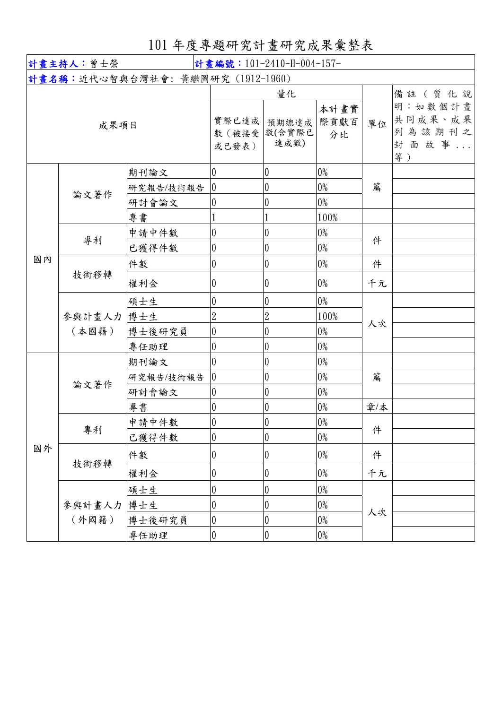## 101 年度專題研究計畫研究成果彙整表

| 計畫主持人:曾士榮 |                 |                                   | 計畫編號: 101-2410-H-004-157- |                               |                    |     |                                                      |
|-----------|-----------------|-----------------------------------|---------------------------|-------------------------------|--------------------|-----|------------------------------------------------------|
|           |                 | 計畫名稱:近代心智與台灣社會: 黃繼圖研究 (1912-1960) |                           |                               |                    |     |                                                      |
| 成果項目      |                 |                                   | 實際已達成<br>數 (被接受<br>或已發表)  | 量化<br>預期總達成<br>數(含實際已<br>達成數) | 本計畫實<br>際貢獻百<br>分比 | 單位  | 備註(質化說<br>明:如數個計畫<br>共同成果、成果<br>列為該期刊之<br>封面故事<br>等) |
|           |                 | 期刊論文                              | $\overline{0}$            | $\boldsymbol{0}$              | $0\%$              | 篇   |                                                      |
|           |                 | 研究報告/技術報告                         | $\overline{0}$            | $\theta$                      | $0\%$              |     |                                                      |
|           | 論文著作            | 研討會論文                             | $\theta$                  | $\boldsymbol{0}$              | $0\%$              |     |                                                      |
|           |                 | 專書                                |                           |                               | 100%               |     |                                                      |
|           |                 | 申請中件數                             | $\theta$                  | $\boldsymbol{0}$              | $0\%$              |     |                                                      |
|           | 專利              | 已獲得件數                             | $\overline{0}$            | $\boldsymbol{0}$              | $0\%$              | 件   |                                                      |
| 國內        | 技術移轉            | 件數                                | $\overline{0}$            | $\boldsymbol{0}$              | $0\%$              | 件   |                                                      |
|           |                 | 權利金                               | $\overline{0}$            | $\boldsymbol{0}$              | $0\%$              | 千元  |                                                      |
|           | 參與計畫人力<br>(本國籍) | 碩士生                               | $\overline{0}$            | $\boldsymbol{0}$              | $0\%$              |     |                                                      |
|           |                 | 博士生                               | $\overline{2}$            | $\overline{2}$                | 100%               | 人次  |                                                      |
|           |                 | 博士後研究員                            | $\overline{0}$            | $\boldsymbol{0}$              | $0\%$              |     |                                                      |
|           |                 | 專任助理                              | $\overline{0}$            | $\boldsymbol{0}$              | $0\%$              |     |                                                      |
|           | 論文著作            | 期刊論文                              | $\overline{0}$            | $\boldsymbol{0}$              | $0\%$              |     |                                                      |
|           |                 | 研究報告/技術報告                         | $ 0\rangle$               | $\boldsymbol{0}$              | $0\%$              | 篇   |                                                      |
|           |                 | 研討會論文                             | $\boldsymbol{0}$          | $\boldsymbol{0}$              | $0\%$              |     |                                                      |
|           |                 | 專書                                | $\overline{0}$            | 0                             | $0\%$              | 章/本 |                                                      |
|           | 專利              | 申請中件數                             | $\boldsymbol{0}$          | $\theta$                      | $0\%$              | 件   |                                                      |
|           |                 | 已獲得件數                             | $\overline{0}$            | $\boldsymbol{0}$              | $0\%$              |     |                                                      |
| 國外        | 技術移轉            | 件數                                | $\vert 0 \vert$           | $\pmb{0}$                     | $0\%$              | 件   |                                                      |
|           |                 | 權利金                               | $\boldsymbol{0}$          | $\boldsymbol{0}$              | $0\%$              | 千元  |                                                      |
|           | 參與計畫人力<br>(外國籍) | 碩士生                               | $\boldsymbol{0}$          | $\boldsymbol{0}$              | $0\%$              | 人次  |                                                      |
|           |                 | 博士生                               | $\overline{0}$            | $\boldsymbol{0}$              | $0\%$              |     |                                                      |
|           |                 | 博士後研究員                            | $\overline{0}$            | $\boldsymbol{0}$              | $0\%$              |     |                                                      |
|           |                 | 專任助理                              | $\overline{0}$            | $\boldsymbol{0}$              | $0\%$              |     |                                                      |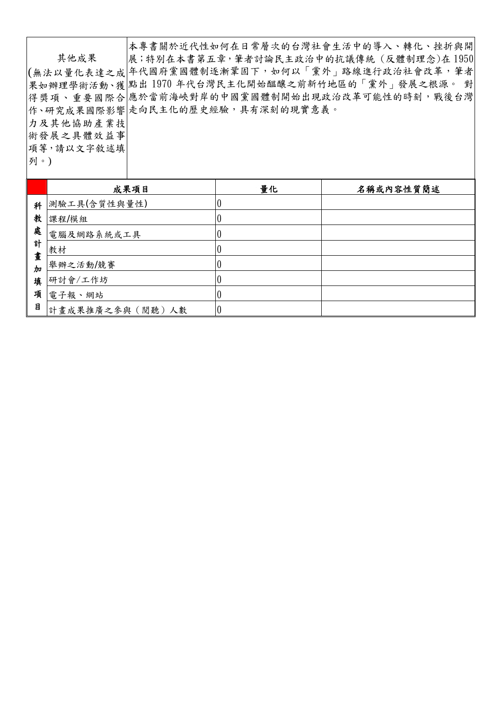|            | 本專書關於近代性如何在日常層次的台灣社會生活中的導入、轉化、挫折與開              |
|------------|-------------------------------------------------|
| 其他成果       | 展;特別在本書第五章,筆者討論民主政治中的抗議傳統 (反體制理念)在1950          |
|            | (無法以量化表達之成 年代國府黨國體制逐漸鞏固下,如何以「黨外」路線進行政治社會改革,筆者   |
|            | 果如辦理學術活動、獲 點出1970年代台灣民主化開始醞釀之前新竹地區的「黨外」發展之根源。 對 |
|            | 得獎項、重要國際合 應於當前海峽對岸的中國黨國體制開始出現政治改革可能性的時刻,戰後台灣    |
|            | 作、研究成果國際影響 走向民主化的歷史經驗,具有深刻的現實意義。                |
| 力及其他協助產業技  |                                                 |
| 術發展之具體效益事  |                                                 |
| 項等,請以文字敘述填 |                                                 |
| 列。)        |                                                 |
|            |                                                 |

|        | 成果項目            | 量化 | 名稱或內容性質簡述 |
|--------|-----------------|----|-----------|
| 科      | 測驗工具(含質性與量性)    |    |           |
| 教      | 課程/模組           |    |           |
| 處      | 電腦及網路系統或工具      |    |           |
| 計      | 教材              |    |           |
| 畫<br>加 | 舉辦之活動/競賽        |    |           |
| 填      | 研討會/工作坊         |    |           |
| 項      | 電子報、網站          |    |           |
| 目      | 計畫成果推廣之參與(閱聽)人數 |    |           |